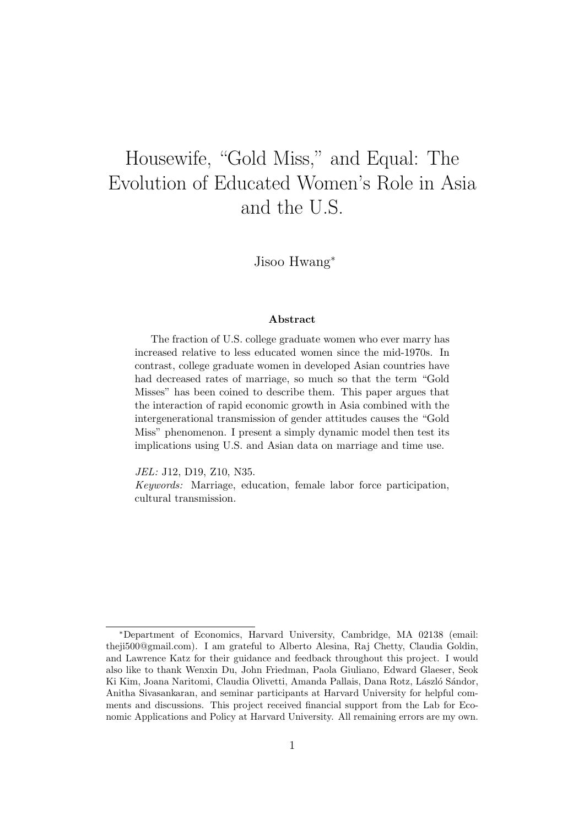# Housewife, "Gold Miss," and Equal: The Evolution of Educated Women's Role in Asia and the U.S.

Jisoo Hwang<sup>∗</sup>

#### Abstract

The fraction of U.S. college graduate women who ever marry has increased relative to less educated women since the mid-1970s. In contrast, college graduate women in developed Asian countries have had decreased rates of marriage, so much so that the term "Gold Misses" has been coined to describe them. This paper argues that the interaction of rapid economic growth in Asia combined with the intergenerational transmission of gender attitudes causes the "Gold Miss" phenomenon. I present a simply dynamic model then test its implications using U.S. and Asian data on marriage and time use.

JEL: J12, D19, Z10, N35.

Keywords: Marriage, education, female labor force participation, cultural transmission.

<sup>∗</sup>Department of Economics, Harvard University, Cambridge, MA 02138 (email: theji500@gmail.com). I am grateful to Alberto Alesina, Raj Chetty, Claudia Goldin, and Lawrence Katz for their guidance and feedback throughout this project. I would also like to thank Wenxin Du, John Friedman, Paola Giuliano, Edward Glaeser, Seok Ki Kim, Joana Naritomi, Claudia Olivetti, Amanda Pallais, Dana Rotz, László Sándor, Anitha Sivasankaran, and seminar participants at Harvard University for helpful comments and discussions. This project received financial support from the Lab for Economic Applications and Policy at Harvard University. All remaining errors are my own.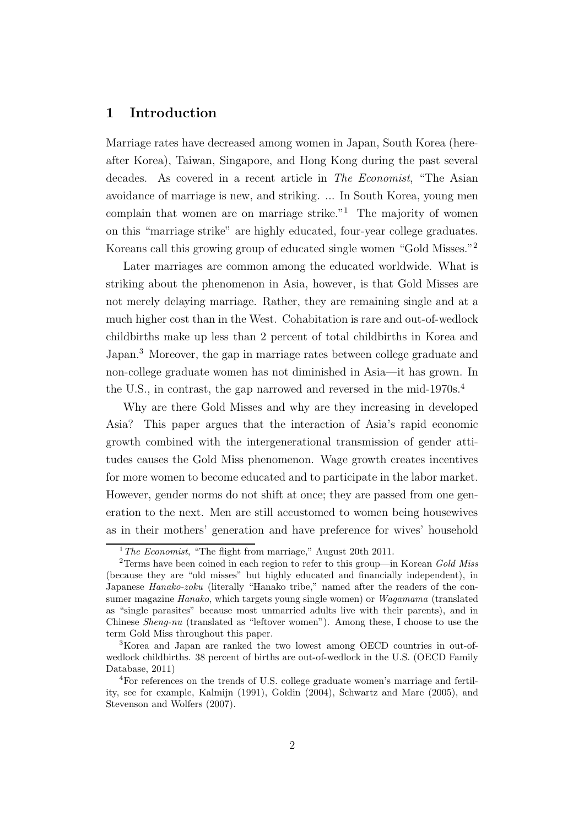# 1 Introduction

Marriage rates have decreased among women in Japan, South Korea (hereafter Korea), Taiwan, Singapore, and Hong Kong during the past several decades. As covered in a recent article in *The Economist*, "The Asian avoidance of marriage is new, and striking. ... In South Korea, young men complain that women are on marriage strike. $1$  The majority of women on this "marriage strike" are highly educated, four-year college graduates. Koreans call this growing group of educated single women "Gold Misses."<sup>2</sup>

Later marriages are common among the educated worldwide. What is striking about the phenomenon in Asia, however, is that Gold Misses are not merely delaying marriage. Rather, they are remaining single and at a much higher cost than in the West. Cohabitation is rare and out-of-wedlock childbirths make up less than 2 percent of total childbirths in Korea and Japan.<sup>3</sup> Moreover, the gap in marriage rates between college graduate and non-college graduate women has not diminished in Asia—it has grown. In the U.S., in contrast, the gap narrowed and reversed in the mid-1970s.<sup>4</sup>

Why are there Gold Misses and why are they increasing in developed Asia? This paper argues that the interaction of Asia's rapid economic growth combined with the intergenerational transmission of gender attitudes causes the Gold Miss phenomenon. Wage growth creates incentives for more women to become educated and to participate in the labor market. However, gender norms do not shift at once; they are passed from one generation to the next. Men are still accustomed to women being housewives as in their mothers' generation and have preference for wives' household

 $1$ <sup>1</sup> The Economist, "The flight from marriage," August 20th 2011.

<sup>&</sup>lt;sup>2</sup>Terms have been coined in each region to refer to this group—in Korean Gold Miss (because they are "old misses" but highly educated and financially independent), in Japanese Hanako-zoku (literally "Hanako tribe," named after the readers of the consumer magazine Hanako, which targets young single women) or Wagamama (translated as "single parasites" because most unmarried adults live with their parents), and in Chinese Sheng-nu (translated as "leftover women"). Among these, I choose to use the term Gold Miss throughout this paper.

<sup>3</sup>Korea and Japan are ranked the two lowest among OECD countries in out-ofwedlock childbirths. 38 percent of births are out-of-wedlock in the U.S. (OECD Family Database, 2011)

<sup>4</sup>For references on the trends of U.S. college graduate women's marriage and fertility, see for example, Kalmijn (1991), Goldin (2004), Schwartz and Mare (2005), and Stevenson and Wolfers (2007).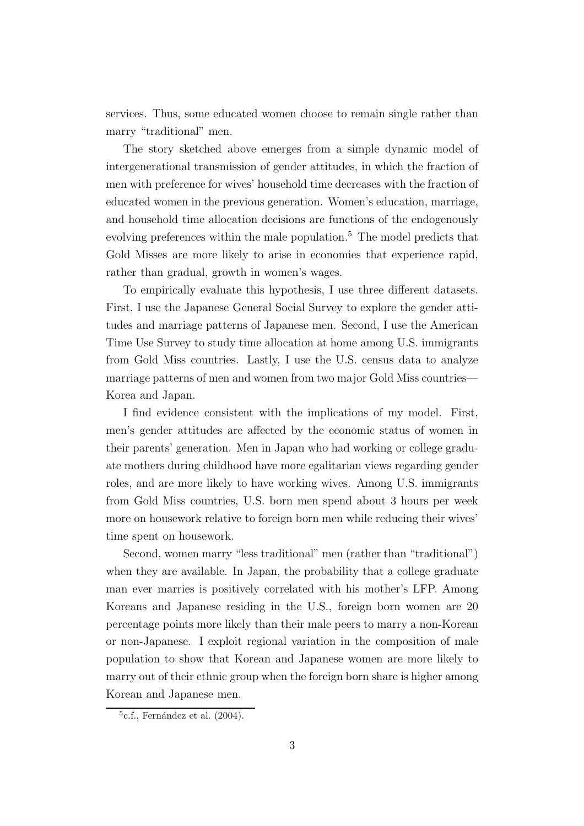services. Thus, some educated women choose to remain single rather than marry "traditional" men.

The story sketched above emerges from a simple dynamic model of intergenerational transmission of gender attitudes, in which the fraction of men with preference for wives' household time decreases with the fraction of educated women in the previous generation. Women's education, marriage, and household time allocation decisions are functions of the endogenously evolving preferences within the male population.<sup>5</sup> The model predicts that Gold Misses are more likely to arise in economies that experience rapid, rather than gradual, growth in women's wages.

To empirically evaluate this hypothesis, I use three different datasets. First, I use the Japanese General Social Survey to explore the gender attitudes and marriage patterns of Japanese men. Second, I use the American Time Use Survey to study time allocation at home among U.S. immigrants from Gold Miss countries. Lastly, I use the U.S. census data to analyze marriage patterns of men and women from two major Gold Miss countries— Korea and Japan.

I find evidence consistent with the implications of my model. First, men's gender attitudes are affected by the economic status of women in their parents' generation. Men in Japan who had working or college graduate mothers during childhood have more egalitarian views regarding gender roles, and are more likely to have working wives. Among U.S. immigrants from Gold Miss countries, U.S. born men spend about 3 hours per week more on housework relative to foreign born men while reducing their wives' time spent on housework.

Second, women marry "less traditional" men (rather than "traditional") when they are available. In Japan, the probability that a college graduate man ever marries is positively correlated with his mother's LFP. Among Koreans and Japanese residing in the U.S., foreign born women are 20 percentage points more likely than their male peers to marry a non-Korean or non-Japanese. I exploit regional variation in the composition of male population to show that Korean and Japanese women are more likely to marry out of their ethnic group when the foreign born share is higher among Korean and Japanese men.

 $5c.f.,$  Fernández et al.  $(2004).$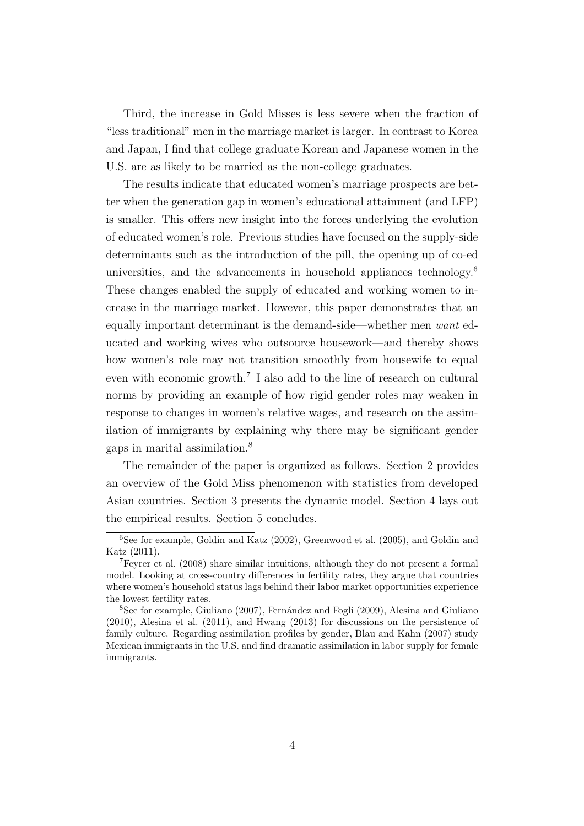Third, the increase in Gold Misses is less severe when the fraction of "less traditional" men in the marriage market is larger. In contrast to Korea and Japan, I find that college graduate Korean and Japanese women in the U.S. are as likely to be married as the non-college graduates.

The results indicate that educated women's marriage prospects are better when the generation gap in women's educational attainment (and LFP) is smaller. This offers new insight into the forces underlying the evolution of educated women's role. Previous studies have focused on the supply-side determinants such as the introduction of the pill, the opening up of co-ed universities, and the advancements in household appliances technology.<sup>6</sup> These changes enabled the supply of educated and working women to increase in the marriage market. However, this paper demonstrates that an equally important determinant is the demand-side—whether men *want* educated and working wives who outsource housework—and thereby shows how women's role may not transition smoothly from housewife to equal even with economic growth.<sup>7</sup> I also add to the line of research on cultural norms by providing an example of how rigid gender roles may weaken in response to changes in women's relative wages, and research on the assimilation of immigrants by explaining why there may be significant gender gaps in marital assimilation.<sup>8</sup>

The remainder of the paper is organized as follows. Section 2 provides an overview of the Gold Miss phenomenon with statistics from developed Asian countries. Section 3 presents the dynamic model. Section 4 lays out the empirical results. Section 5 concludes.

<sup>6</sup>See for example, Goldin and Katz (2002), Greenwood et al. (2005), and Goldin and Katz (2011).

<sup>7</sup>Feyrer et al. (2008) share similar intuitions, although they do not present a formal model. Looking at cross-country differences in fertility rates, they argue that countries where women's household status lags behind their labor market opportunities experience the lowest fertility rates.

<sup>&</sup>lt;sup>8</sup>See for example, Giuliano (2007), Fernández and Fogli (2009), Alesina and Giuliano (2010), Alesina et al. (2011), and Hwang (2013) for discussions on the persistence of family culture. Regarding assimilation profiles by gender, Blau and Kahn (2007) study Mexican immigrants in the U.S. and find dramatic assimilation in labor supply for female immigrants.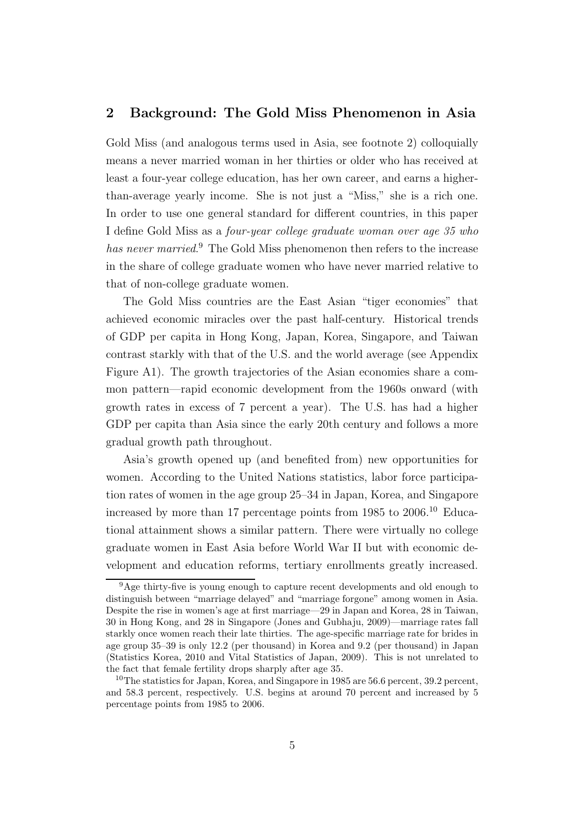# 2 Background: The Gold Miss Phenomenon in Asia

Gold Miss (and analogous terms used in Asia, see footnote 2) colloquially means a never married woman in her thirties or older who has received at least a four-year college education, has her own career, and earns a higherthan-average yearly income. She is not just a "Miss," she is a rich one. In order to use one general standard for different countries, in this paper I define Gold Miss as a *four-year college graduate woman over age 35 who has never married*. <sup>9</sup> The Gold Miss phenomenon then refers to the increase in the share of college graduate women who have never married relative to that of non-college graduate women.

The Gold Miss countries are the East Asian "tiger economies" that achieved economic miracles over the past half-century. Historical trends of GDP per capita in Hong Kong, Japan, Korea, Singapore, and Taiwan contrast starkly with that of the U.S. and the world average (see Appendix Figure A1). The growth trajectories of the Asian economies share a common pattern—rapid economic development from the 1960s onward (with growth rates in excess of 7 percent a year). The U.S. has had a higher GDP per capita than Asia since the early 20th century and follows a more gradual growth path throughout.

Asia's growth opened up (and benefited from) new opportunities for women. According to the United Nations statistics, labor force participation rates of women in the age group 25–34 in Japan, Korea, and Singapore increased by more than 17 percentage points from  $1985$  to  $2006$ .<sup>10</sup> Educational attainment shows a similar pattern. There were virtually no college graduate women in East Asia before World War II but with economic development and education reforms, tertiary enrollments greatly increased.

<sup>9</sup>Age thirty-five is young enough to capture recent developments and old enough to distinguish between "marriage delayed" and "marriage forgone" among women in Asia. Despite the rise in women's age at first marriage—29 in Japan and Korea, 28 in Taiwan, 30 in Hong Kong, and 28 in Singapore (Jones and Gubhaju, 2009)—marriage rates fall starkly once women reach their late thirties. The age-specific marriage rate for brides in age group 35–39 is only 12.2 (per thousand) in Korea and 9.2 (per thousand) in Japan (Statistics Korea, 2010 and Vital Statistics of Japan, 2009). This is not unrelated to the fact that female fertility drops sharply after age 35.

<sup>&</sup>lt;sup>10</sup>The statistics for Japan, Korea, and Singapore in 1985 are 56.6 percent, 39.2 percent, and 58.3 percent, respectively. U.S. begins at around 70 percent and increased by 5 percentage points from 1985 to 2006.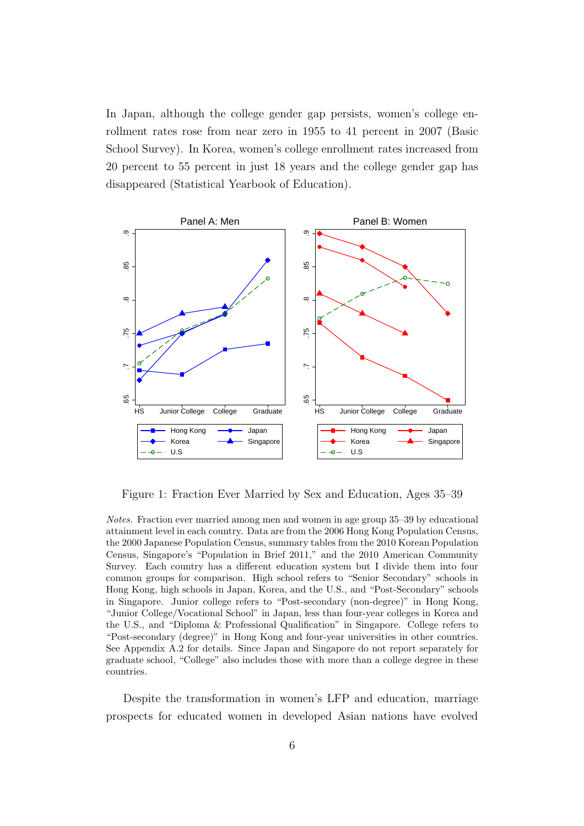In Japan, although the college gender gap persists, women's college enrollment rates rose from near zero in 1955 to 41 percent in 2007 (Basic School Survey). In Korea, women's college enrollment rates increased from 20 percent to 55 percent in just 18 years and the college gender gap has disappeared (Statistical Yearbook of Education).



Figure 1: Fraction Ever Married by Sex and Education, Ages 35–39

Notes. Fraction ever married among men and women in age group 35–39 by educational attainment level in each country. Data are from the 2006 Hong Kong Population Census, the 2000 Japanese Population Census, summary tables from the 2010 Korean Population Census, Singapore's "Population in Brief 2011," and the 2010 American Community Survey. Each country has a different education system but I divide them into four common groups for comparison. High school refers to "Senior Secondary" schools in Hong Kong, high schools in Japan, Korea, and the U.S., and "Post-Secondary" schools in Singapore. Junior college refers to "Post-secondary (non-degree)" in Hong Kong, "Junior College/Vocational School" in Japan, less than four-year colleges in Korea and the U.S., and "Diploma & Professional Qualification" in Singapore. College refers to "Post-secondary (degree)" in Hong Kong and four-year universities in other countries. See Appendix A.2 for details. Since Japan and Singapore do not report separately for graduate school, "College" also includes those with more than a college degree in these countries.

Despite the transformation in women's LFP and education, marriage prospects for educated women in developed Asian nations have evolved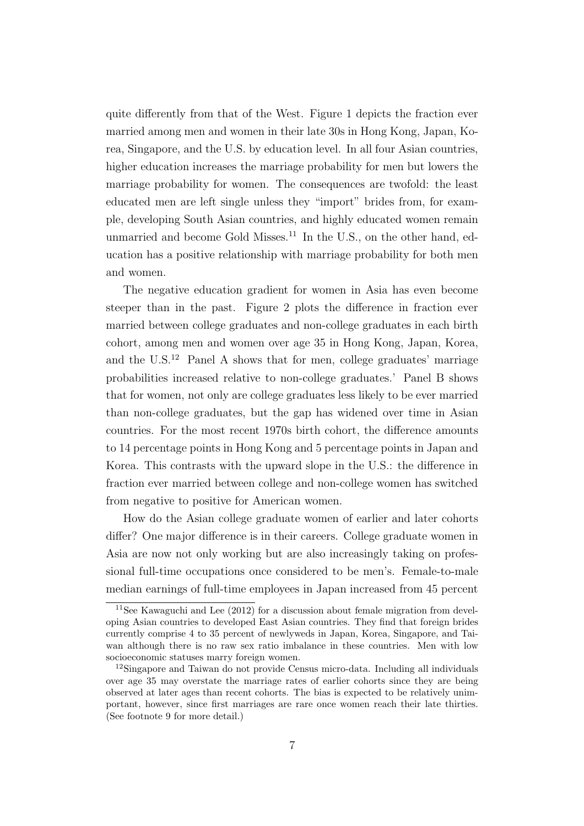quite differently from that of the West. Figure 1 depicts the fraction ever married among men and women in their late 30s in Hong Kong, Japan, Korea, Singapore, and the U.S. by education level. In all four Asian countries, higher education increases the marriage probability for men but lowers the marriage probability for women. The consequences are twofold: the least educated men are left single unless they "import" brides from, for example, developing South Asian countries, and highly educated women remain unmarried and become Gold Misses.<sup>11</sup> In the U.S., on the other hand, education has a positive relationship with marriage probability for both men and women.

The negative education gradient for women in Asia has even become steeper than in the past. Figure 2 plots the difference in fraction ever married between college graduates and non-college graduates in each birth cohort, among men and women over age 35 in Hong Kong, Japan, Korea, and the  $U.S.<sup>12</sup>$  Panel A shows that for men, college graduates' marriage probabilities increased relative to non-college graduates.' Panel B shows that for women, not only are college graduates less likely to be ever married than non-college graduates, but the gap has widened over time in Asian countries. For the most recent 1970s birth cohort, the difference amounts to 14 percentage points in Hong Kong and 5 percentage points in Japan and Korea. This contrasts with the upward slope in the U.S.: the difference in fraction ever married between college and non-college women has switched from negative to positive for American women.

How do the Asian college graduate women of earlier and later cohorts differ? One major difference is in their careers. College graduate women in Asia are now not only working but are also increasingly taking on professional full-time occupations once considered to be men's. Female-to-male median earnings of full-time employees in Japan increased from 45 percent

<sup>&</sup>lt;sup>11</sup>See Kawaguchi and Lee  $(2012)$  for a discussion about female migration from developing Asian countries to developed East Asian countries. They find that foreign brides currently comprise 4 to 35 percent of newlyweds in Japan, Korea, Singapore, and Taiwan although there is no raw sex ratio imbalance in these countries. Men with low socioeconomic statuses marry foreign women.

<sup>&</sup>lt;sup>12</sup>Singapore and Taiwan do not provide Census micro-data. Including all individuals over age 35 may overstate the marriage rates of earlier cohorts since they are being observed at later ages than recent cohorts. The bias is expected to be relatively unimportant, however, since first marriages are rare once women reach their late thirties. (See footnote 9 for more detail.)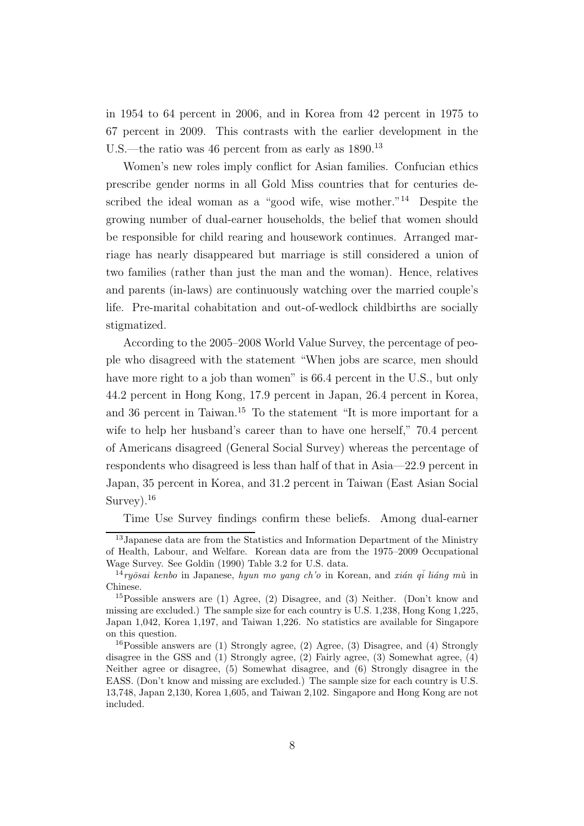in 1954 to 64 percent in 2006, and in Korea from 42 percent in 1975 to 67 percent in 2009. This contrasts with the earlier development in the U.S.—the ratio was 46 percent from as early as  $1890$ .<sup>13</sup>

Women's new roles imply conflict for Asian families. Confucian ethics prescribe gender norms in all Gold Miss countries that for centuries described the ideal woman as a "good wife, wise mother."<sup>14</sup> Despite the growing number of dual-earner households, the belief that women should be responsible for child rearing and housework continues. Arranged marriage has nearly disappeared but marriage is still considered a union of two families (rather than just the man and the woman). Hence, relatives and parents (in-laws) are continuously watching over the married couple's life. Pre-marital cohabitation and out-of-wedlock childbirths are socially stigmatized.

According to the 2005–2008 World Value Survey, the percentage of people who disagreed with the statement "When jobs are scarce, men should have more right to a job than women" is 66.4 percent in the U.S., but only 44.2 percent in Hong Kong, 17.9 percent in Japan, 26.4 percent in Korea, and 36 percent in Taiwan.<sup>15</sup> To the statement "It is more important for a wife to help her husband's career than to have one herself," 70.4 percent of Americans disagreed (General Social Survey) whereas the percentage of respondents who disagreed is less than half of that in Asia—22.9 percent in Japan, 35 percent in Korea, and 31.2 percent in Taiwan (East Asian Social Survey).<sup>16</sup>

Time Use Survey findings confirm these beliefs. Among dual-earner

<sup>13</sup>Japanese data are from the Statistics and Information Department of the Ministry of Health, Labour, and Welfare. Korean data are from the 1975–2009 Occupational Wage Survey. See Goldin (1990) Table 3.2 for U.S. data.

<sup>&</sup>lt;sup>14</sup>ryōsai kenbo in Japanese, hyun mo yang ch'o in Korean, and xián qi liáng mù in Chinese.

<sup>&</sup>lt;sup>15</sup>Possible answers are (1) Agree, (2) Disagree, and (3) Neither. (Don't know and missing are excluded.) The sample size for each country is U.S. 1,238, Hong Kong 1,225, Japan 1,042, Korea 1,197, and Taiwan 1,226. No statistics are available for Singapore on this question.

<sup>16</sup>Possible answers are (1) Strongly agree, (2) Agree, (3) Disagree, and (4) Strongly disagree in the GSS and (1) Strongly agree, (2) Fairly agree, (3) Somewhat agree, (4) Neither agree or disagree, (5) Somewhat disagree, and (6) Strongly disagree in the EASS. (Don't know and missing are excluded.) The sample size for each country is U.S. 13,748, Japan 2,130, Korea 1,605, and Taiwan 2,102. Singapore and Hong Kong are not included.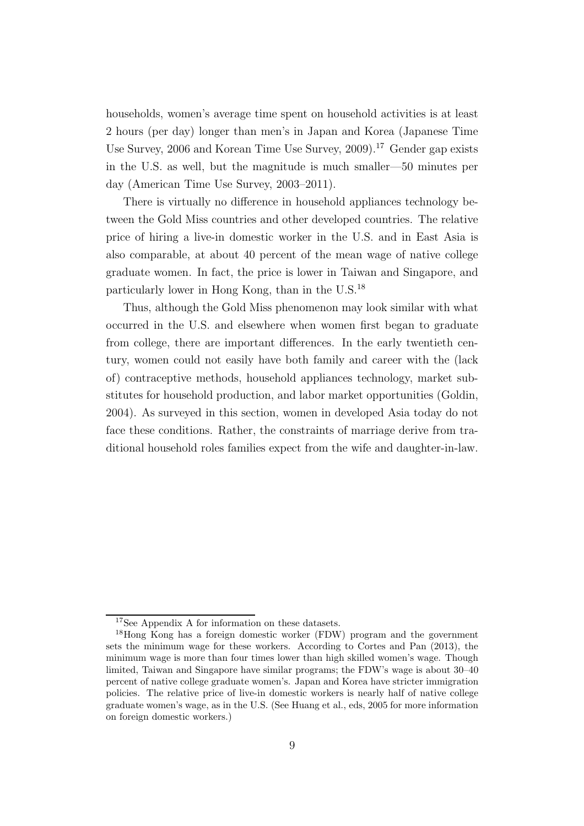households, women's average time spent on household activities is at least 2 hours (per day) longer than men's in Japan and Korea (Japanese Time Use Survey, 2006 and Korean Time Use Survey, 2009).<sup>17</sup> Gender gap exists in the U.S. as well, but the magnitude is much smaller—50 minutes per day (American Time Use Survey, 2003–2011).

There is virtually no difference in household appliances technology between the Gold Miss countries and other developed countries. The relative price of hiring a live-in domestic worker in the U.S. and in East Asia is also comparable, at about 40 percent of the mean wage of native college graduate women. In fact, the price is lower in Taiwan and Singapore, and particularly lower in Hong Kong, than in the U.S.<sup>18</sup>

Thus, although the Gold Miss phenomenon may look similar with what occurred in the U.S. and elsewhere when women first began to graduate from college, there are important differences. In the early twentieth century, women could not easily have both family and career with the (lack of) contraceptive methods, household appliances technology, market substitutes for household production, and labor market opportunities (Goldin, 2004). As surveyed in this section, women in developed Asia today do not face these conditions. Rather, the constraints of marriage derive from traditional household roles families expect from the wife and daughter-in-law.

<sup>17</sup>See Appendix A for information on these datasets.

<sup>18</sup>Hong Kong has a foreign domestic worker (FDW) program and the government sets the minimum wage for these workers. According to Cortes and Pan (2013), the minimum wage is more than four times lower than high skilled women's wage. Though limited, Taiwan and Singapore have similar programs; the FDW's wage is about 30–40 percent of native college graduate women's. Japan and Korea have stricter immigration policies. The relative price of live-in domestic workers is nearly half of native college graduate women's wage, as in the U.S. (See Huang et al., eds, 2005 for more information on foreign domestic workers.)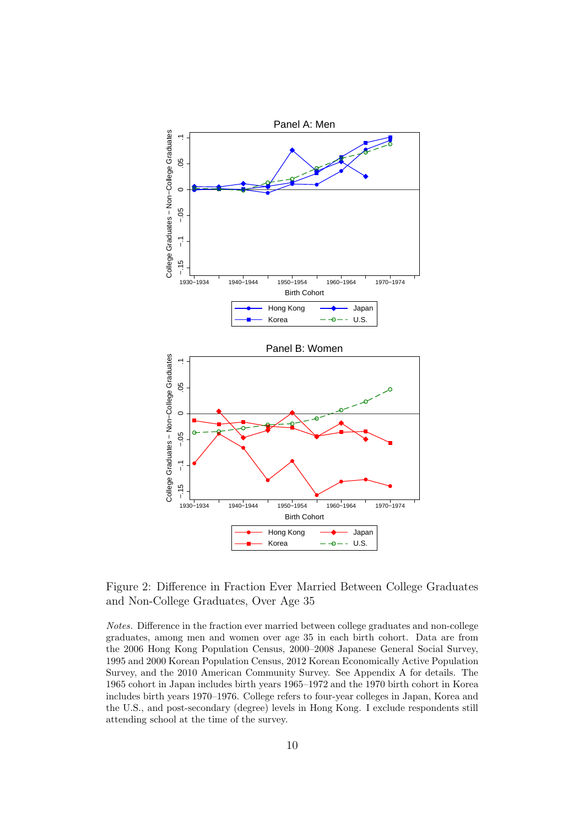

Figure 2: Difference in Fraction Ever Married Between College Graduates and Non-College Graduates, Over Age 35

Notes. Difference in the fraction ever married between college graduates and non-college graduates, among men and women over age 35 in each birth cohort. Data are from the 2006 Hong Kong Population Census, 2000–2008 Japanese General Social Survey, 1995 and 2000 Korean Population Census, 2012 Korean Economically Active Population Survey, and the 2010 American Community Survey. See Appendix A for details. The 1965 cohort in Japan includes birth years 1965–1972 and the 1970 birth cohort in Korea includes birth years 1970–1976. College refers to four-year colleges in Japan, Korea and the U.S., and post-secondary (degree) levels in Hong Kong. I exclude respondents still attending school at the time of the survey.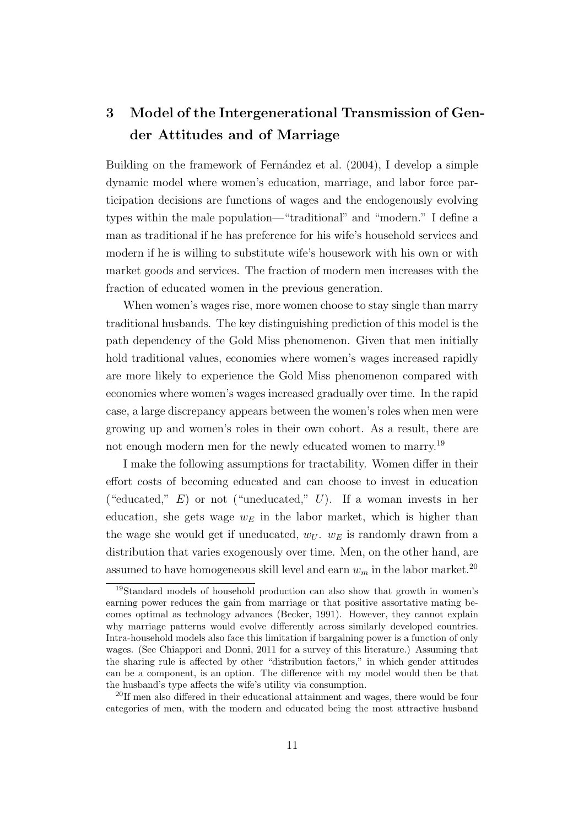# 3 Model of the Intergenerational Transmission of Gender Attitudes and of Marriage

Building on the framework of Fernández et al.  $(2004)$ , I develop a simple dynamic model where women's education, marriage, and labor force participation decisions are functions of wages and the endogenously evolving types within the male population—"traditional" and "modern." I define a man as traditional if he has preference for his wife's household services and modern if he is willing to substitute wife's housework with his own or with market goods and services. The fraction of modern men increases with the fraction of educated women in the previous generation.

When women's wages rise, more women choose to stay single than marry traditional husbands. The key distinguishing prediction of this model is the path dependency of the Gold Miss phenomenon. Given that men initially hold traditional values, economies where women's wages increased rapidly are more likely to experience the Gold Miss phenomenon compared with economies where women's wages increased gradually over time. In the rapid case, a large discrepancy appears between the women's roles when men were growing up and women's roles in their own cohort. As a result, there are not enough modern men for the newly educated women to marry.<sup>19</sup>

I make the following assumptions for tractability. Women differ in their effort costs of becoming educated and can choose to invest in education ("educated,"  $E$ ) or not ("uneducated,"  $U$ ). If a woman invests in her education, she gets wage  $w_E$  in the labor market, which is higher than the wage she would get if uneducated,  $w_U$ .  $w_E$  is randomly drawn from a distribution that varies exogenously over time. Men, on the other hand, are assumed to have homogeneous skill level and earn  $w_m$  in the labor market.<sup>20</sup>

<sup>19</sup>Standard models of household production can also show that growth in women's earning power reduces the gain from marriage or that positive assortative mating becomes optimal as technology advances (Becker, 1991). However, they cannot explain why marriage patterns would evolve differently across similarly developed countries. Intra-household models also face this limitation if bargaining power is a function of only wages. (See Chiappori and Donni, 2011 for a survey of this literature.) Assuming that the sharing rule is affected by other "distribution factors," in which gender attitudes can be a component, is an option. The difference with my model would then be that the husband's type affects the wife's utility via consumption.

<sup>&</sup>lt;sup>20</sup>If men also differed in their educational attainment and wages, there would be four categories of men, with the modern and educated being the most attractive husband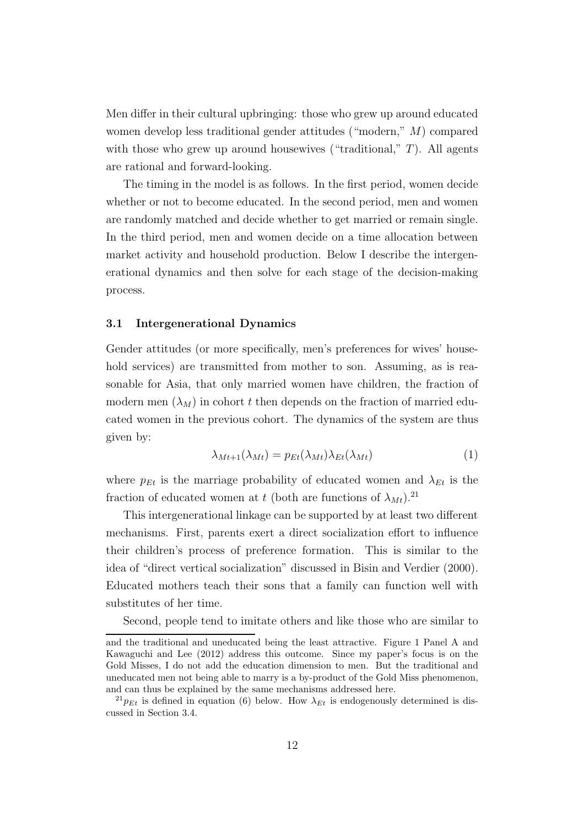Men differ in their cultural upbringing: those who grew up around educated women develop less traditional gender attitudes ("modern," M) compared with those who grew up around housewives ("traditional,"  $T$ ). All agents are rational and forward-looking.

The timing in the model is as follows. In the first period, women decide whether or not to become educated. In the second period, men and women are randomly matched and decide whether to get married or remain single. In the third period, men and women decide on a time allocation between market activity and household production. Below I describe the intergenerational dynamics and then solve for each stage of the decision-making process.

# 3.1 Intergenerational Dynamics

Gender attitudes (or more specifically, men's preferences for wives' household services) are transmitted from mother to son. Assuming, as is reasonable for Asia, that only married women have children, the fraction of modern men  $(\lambda_M)$  in cohort t then depends on the fraction of married educated women in the previous cohort. The dynamics of the system are thus given by:

$$
\lambda_{Mt+1}(\lambda_{Mt}) = p_{Et}(\lambda_{Mt})\lambda_{Et}(\lambda_{Mt})
$$
\n(1)

where  $p_{Et}$  is the marriage probability of educated women and  $\lambda_{Et}$  is the fraction of educated women at t (both are functions of  $\lambda_{Mt}$ ).<sup>21</sup>

This intergenerational linkage can be supported by at least two different mechanisms. First, parents exert a direct socialization effort to influence their children's process of preference formation. This is similar to the idea of "direct vertical socialization" discussed in Bisin and Verdier (2000). Educated mothers teach their sons that a family can function well with substitutes of her time.

Second, people tend to imitate others and like those who are similar to

and the traditional and uneducated being the least attractive. Figure 1 Panel A and Kawaguchi and Lee (2012) address this outcome. Since my paper's focus is on the Gold Misses, I do not add the education dimension to men. But the traditional and uneducated men not being able to marry is a by-product of the Gold Miss phenomenon, and can thus be explained by the same mechanisms addressed here.

 $^{21}p_{Et}$  is defined in equation (6) below. How  $\lambda_{Et}$  is endogenously determined is discussed in Section 3.4.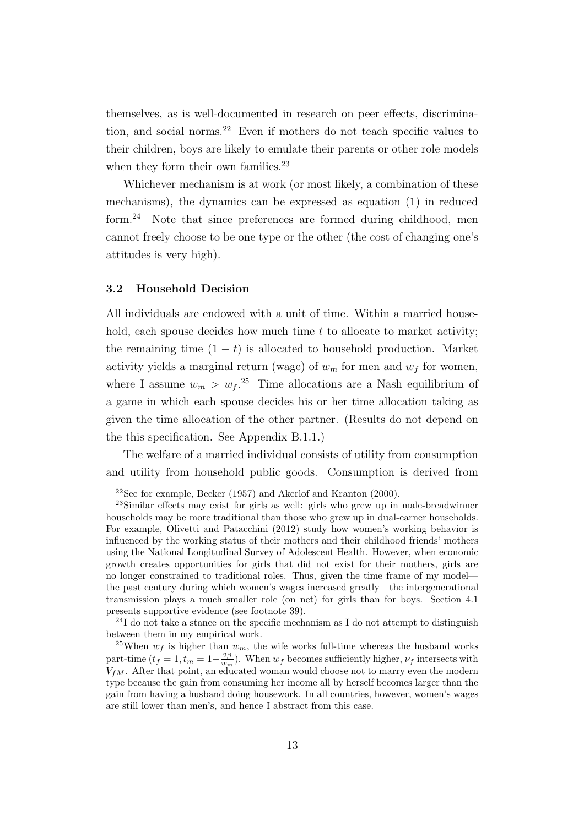themselves, as is well-documented in research on peer effects, discrimination, and social norms.<sup>22</sup> Even if mothers do not teach specific values to their children, boys are likely to emulate their parents or other role models when they form their own families.<sup>23</sup>

Whichever mechanism is at work (or most likely, a combination of these mechanisms), the dynamics can be expressed as equation (1) in reduced form.<sup>24</sup> Note that since preferences are formed during childhood, men cannot freely choose to be one type or the other (the cost of changing one's attitudes is very high).

# 3.2 Household Decision

All individuals are endowed with a unit of time. Within a married household, each spouse decides how much time  $t$  to allocate to market activity; the remaining time  $(1 - t)$  is allocated to household production. Market activity yields a marginal return (wage) of  $w_m$  for men and  $w_f$  for women, where I assume  $w_m > w_f$ .<sup>25</sup> Time allocations are a Nash equilibrium of a game in which each spouse decides his or her time allocation taking as given the time allocation of the other partner. (Results do not depend on the this specification. See Appendix B.1.1.)

The welfare of a married individual consists of utility from consumption and utility from household public goods. Consumption is derived from

 $22$ See for example, Becker (1957) and Akerlof and Kranton (2000).

<sup>23</sup>Similar effects may exist for girls as well: girls who grew up in male-breadwinner households may be more traditional than those who grew up in dual-earner households. For example, Olivetti and Patacchini (2012) study how women's working behavior is influenced by the working status of their mothers and their childhood friends' mothers using the National Longitudinal Survey of Adolescent Health. However, when economic growth creates opportunities for girls that did not exist for their mothers, girls are no longer constrained to traditional roles. Thus, given the time frame of my model the past century during which women's wages increased greatly—the intergenerational transmission plays a much smaller role (on net) for girls than for boys. Section 4.1 presents supportive evidence (see footnote 39).

 $^{24}$ I do not take a stance on the specific mechanism as I do not attempt to distinguish between them in my empirical work.

<sup>&</sup>lt;sup>25</sup>When  $w_f$  is higher than  $w_m$ , the wife works full-time whereas the husband works part-time  $(t_f = 1, t_m = 1 - \frac{2\beta}{w_m})$ . When  $w_f$  becomes sufficiently higher,  $\nu_f$  intersects with  $V_{fM}$ . After that point, an educated woman would choose not to marry even the modern type because the gain from consuming her income all by herself becomes larger than the gain from having a husband doing housework. In all countries, however, women's wages are still lower than men's, and hence I abstract from this case.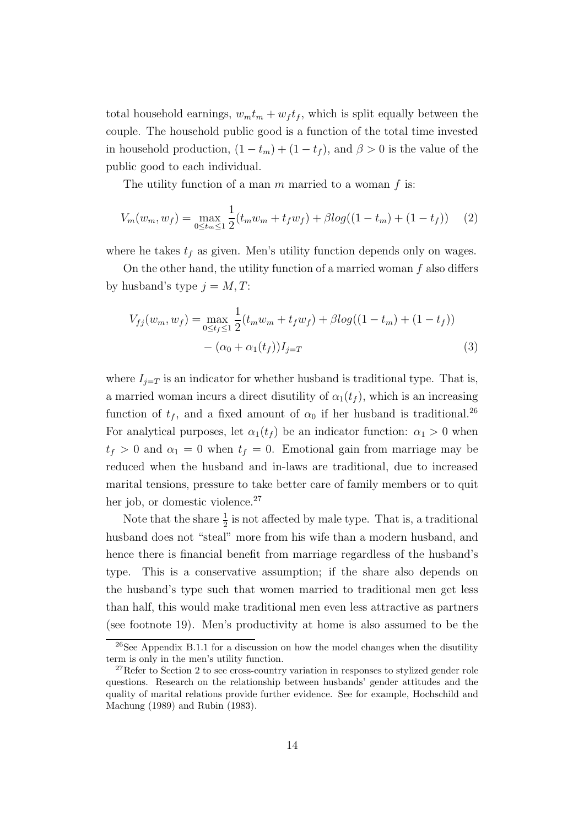total household earnings,  $w_m t_m + w_f t_f$ , which is split equally between the couple. The household public good is a function of the total time invested in household production,  $(1 - t_m) + (1 - t_f)$ , and  $\beta > 0$  is the value of the public good to each individual.

The utility function of a man  $m$  married to a woman  $f$  is:

$$
V_m(w_m, w_f) = \max_{0 \le t_m \le 1} \frac{1}{2} (t_m w_m + t_f w_f) + \beta \log((1 - t_m) + (1 - t_f)) \tag{2}
$$

where he takes  $t_f$  as given. Men's utility function depends only on wages.

On the other hand, the utility function of a married woman  $f$  also differs by husband's type  $j = M, T$ :

$$
V_{fj}(w_m, w_f) = \max_{0 \le t_f \le 1} \frac{1}{2} (t_m w_m + t_f w_f) + \beta \log((1 - t_m) + (1 - t_f))
$$
  
 
$$
- (\alpha_0 + \alpha_1(t_f))I_{j=T}
$$
 (3)

where  $I_{j=T}$  is an indicator for whether husband is traditional type. That is, a married woman incurs a direct disutility of  $\alpha_1(t_f)$ , which is an increasing function of  $t_f$ , and a fixed amount of  $\alpha_0$  if her husband is traditional.<sup>26</sup> For analytical purposes, let  $\alpha_1(t_f)$  be an indicator function:  $\alpha_1 > 0$  when  $t_f > 0$  and  $\alpha_1 = 0$  when  $t_f = 0$ . Emotional gain from marriage may be reduced when the husband and in-laws are traditional, due to increased marital tensions, pressure to take better care of family members or to quit her job, or domestic violence.<sup>27</sup>

Note that the share  $\frac{1}{2}$  is not affected by male type. That is, a traditional husband does not "steal" more from his wife than a modern husband, and hence there is financial benefit from marriage regardless of the husband's type. This is a conservative assumption; if the share also depends on the husband's type such that women married to traditional men get less than half, this would make traditional men even less attractive as partners (see footnote 19). Men's productivity at home is also assumed to be the

<sup>26</sup>See Appendix B.1.1 for a discussion on how the model changes when the disutility term is only in the men's utility function.

<sup>&</sup>lt;sup>27</sup>Refer to Section 2 to see cross-country variation in responses to stylized gender role questions. Research on the relationship between husbands' gender attitudes and the quality of marital relations provide further evidence. See for example, Hochschild and Machung (1989) and Rubin (1983).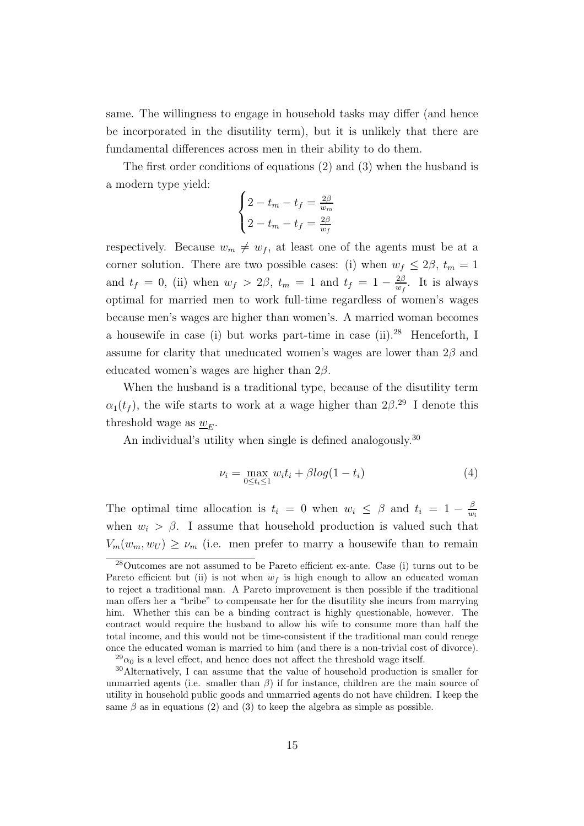same. The willingness to engage in household tasks may differ (and hence be incorporated in the disutility term), but it is unlikely that there are fundamental differences across men in their ability to do them.

The first order conditions of equations (2) and (3) when the husband is a modern type yield:

$$
\begin{cases} 2 - t_m - t_f = \frac{2\beta}{w_m} \\ 2 - t_m - t_f = \frac{2\beta}{w_f} \end{cases}
$$

respectively. Because  $w_m \neq w_f$ , at least one of the agents must be at a corner solution. There are two possible cases: (i) when  $w_f \leq 2\beta$ ,  $t_m = 1$ and  $t_f = 0$ , (ii) when  $w_f > 2\beta$ ,  $t_m = 1$  and  $t_f = 1 - \frac{2\beta}{m_f}$  $\frac{2\beta}{w_f}$ . It is always optimal for married men to work full-time regardless of women's wages because men's wages are higher than women's. A married woman becomes a housewife in case (i) but works part-time in case (ii).<sup>28</sup> Henceforth, I assume for clarity that uneducated women's wages are lower than  $2\beta$  and educated women's wages are higher than  $2\beta$ .

When the husband is a traditional type, because of the disutility term  $\alpha_1(t_f)$ , the wife starts to work at a wage higher than  $2\beta^{29}$  I denote this threshold wage as  $\underline{w}_E$ .

An individual's utility when single is defined analogously.<sup>30</sup>

$$
\nu_i = \max_{0 \le t_i \le 1} w_i t_i + \beta \log(1 - t_i) \tag{4}
$$

The optimal time allocation is  $t_i = 0$  when  $w_i \leq \beta$  and  $t_i = 1 - \frac{\beta}{w_i}$  $w_i$ when  $w_i > \beta$ . I assume that household production is valued such that  $V_m(w_m, w_U) \geq \nu_m$  (i.e. men prefer to marry a housewife than to remain

<sup>28</sup>Outcomes are not assumed to be Pareto efficient ex-ante. Case (i) turns out to be Pareto efficient but (ii) is not when  $w_f$  is high enough to allow an educated woman to reject a traditional man. A Pareto improvement is then possible if the traditional man offers her a "bribe" to compensate her for the disutility she incurs from marrying him. Whether this can be a binding contract is highly questionable, however. The contract would require the husband to allow his wife to consume more than half the total income, and this would not be time-consistent if the traditional man could renege once the educated woman is married to him (and there is a non-trivial cost of divorce).

 $^{29}\alpha_0$  is a level effect, and hence does not affect the threshold wage itself.

<sup>30</sup>Alternatively, I can assume that the value of household production is smaller for unmarried agents (i.e. smaller than  $\beta$ ) if for instance, children are the main source of utility in household public goods and unmarried agents do not have children. I keep the same  $\beta$  as in equations (2) and (3) to keep the algebra as simple as possible.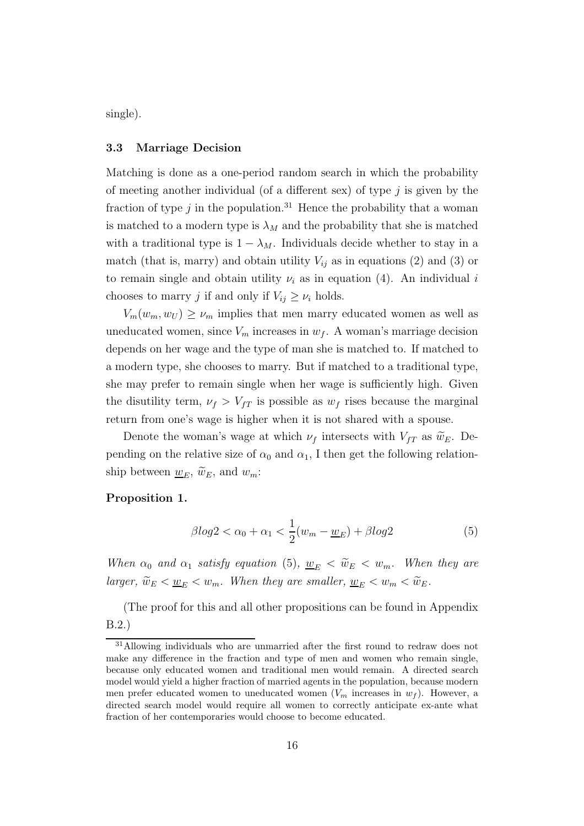single).

# 3.3 Marriage Decision

Matching is done as a one-period random search in which the probability of meeting another individual (of a different sex) of type  $j$  is given by the fraction of type j in the population.<sup>31</sup> Hence the probability that a woman is matched to a modern type is  $\lambda_M$  and the probability that she is matched with a traditional type is  $1 - \lambda_M$ . Individuals decide whether to stay in a match (that is, marry) and obtain utility  $V_{ij}$  as in equations (2) and (3) or to remain single and obtain utility  $\nu_i$  as in equation (4). An individual i chooses to marry j if and only if  $V_{ij} \geq \nu_i$  holds.

 $V_m(w_m, w_U) \geq \nu_m$  implies that men marry educated women as well as uneducated women, since  $V_m$  increases in  $w_f$ . A woman's marriage decision depends on her wage and the type of man she is matched to. If matched to a modern type, she chooses to marry. But if matched to a traditional type, she may prefer to remain single when her wage is sufficiently high. Given the disutility term,  $\nu_f > V_{fT}$  is possible as  $w_f$  rises because the marginal return from one's wage is higher when it is not shared with a spouse.

Denote the woman's wage at which  $\nu_f$  intersects with  $V_{fT}$  as  $\widetilde{w}_E$ . Depending on the relative size of  $\alpha_0$  and  $\alpha_1$ , I then get the following relationship between  $\underline{w}_E$ ,  $\widetilde{w}_E$ , and  $w_m$ :

# Proposition 1.

$$
\beta \log 2 < \alpha_0 + \alpha_1 < \frac{1}{2}(w_m - \underline{w}_E) + \beta \log 2 \tag{5}
$$

*When*  $\alpha_0$  *and*  $\alpha_1$  *satisfy equation* (5),  $\underline{w}_E < \widetilde{w}_E < w_m$ *. When they are larger,*  $\widetilde{w}_E < \underline{w}_E < w_m$ . When they are smaller,  $\underline{w}_E < w_m < \widetilde{w}_E$ .

(The proof for this and all other propositions can be found in Appendix B.2.)

<sup>31</sup>Allowing individuals who are unmarried after the first round to redraw does not make any difference in the fraction and type of men and women who remain single, because only educated women and traditional men would remain. A directed search model would yield a higher fraction of married agents in the population, because modern men prefer educated women to uneducated women  $(V_m$  increases in  $w_f$ ). However, a directed search model would require all women to correctly anticipate ex-ante what fraction of her contemporaries would choose to become educated.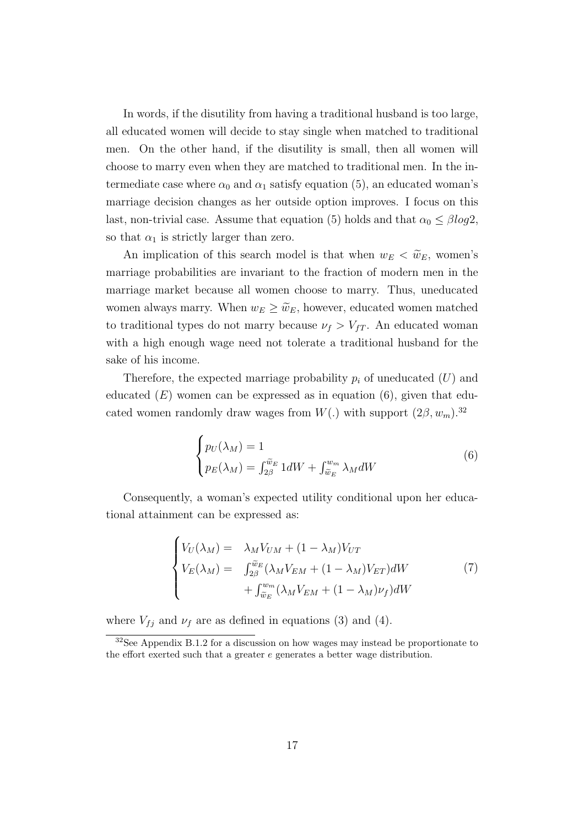In words, if the disutility from having a traditional husband is too large, all educated women will decide to stay single when matched to traditional men. On the other hand, if the disutility is small, then all women will choose to marry even when they are matched to traditional men. In the intermediate case where  $\alpha_0$  and  $\alpha_1$  satisfy equation (5), an educated woman's marriage decision changes as her outside option improves. I focus on this last, non-trivial case. Assume that equation (5) holds and that  $\alpha_0 \leq \beta \log 2$ , so that  $\alpha_1$  is strictly larger than zero.

An implication of this search model is that when  $w_E < \tilde{w}_E$ , women's marriage probabilities are invariant to the fraction of modern men in the marriage market because all women choose to marry. Thus, uneducated women always marry. When  $w_E \geq \tilde{w}_E$ , however, educated women matched to traditional types do not marry because  $\nu_f > V_{fT}$ . An educated woman with a high enough wage need not tolerate a traditional husband for the sake of his income.

Therefore, the expected marriage probability  $p_i$  of uneducated  $(U)$  and educated  $(E)$  women can be expressed as in equation  $(6)$ , given that educated women randomly draw wages from  $W(.)$  with support  $(2\beta, w_m)$ .<sup>32</sup>

$$
\begin{cases} p_U(\lambda_M) = 1\\ p_E(\lambda_M) = \int_{2\beta}^{\widetilde{w}_E} 1 dW + \int_{\widetilde{w}_E}^{w_m} \lambda_M dW \end{cases}
$$
 (6)

Consequently, a woman's expected utility conditional upon her educational attainment can be expressed as:

$$
\begin{cases}\nV_U(\lambda_M) = \lambda_M V_{UM} + (1 - \lambda_M) V_{UT} \\
V_E(\lambda_M) = \int_{2\beta}^{\tilde{w}_E} (\lambda_M V_{EM} + (1 - \lambda_M) V_{ET}) dW \\
+ \int_{\tilde{w}_E}^{w_m} (\lambda_M V_{EM} + (1 - \lambda_M) \nu_f) dW\n\end{cases} \tag{7}
$$

where  $V_{fj}$  and  $\nu_f$  are as defined in equations (3) and (4).

<sup>32</sup>See Appendix B.1.2 for a discussion on how wages may instead be proportionate to the effort exerted such that a greater e generates a better wage distribution.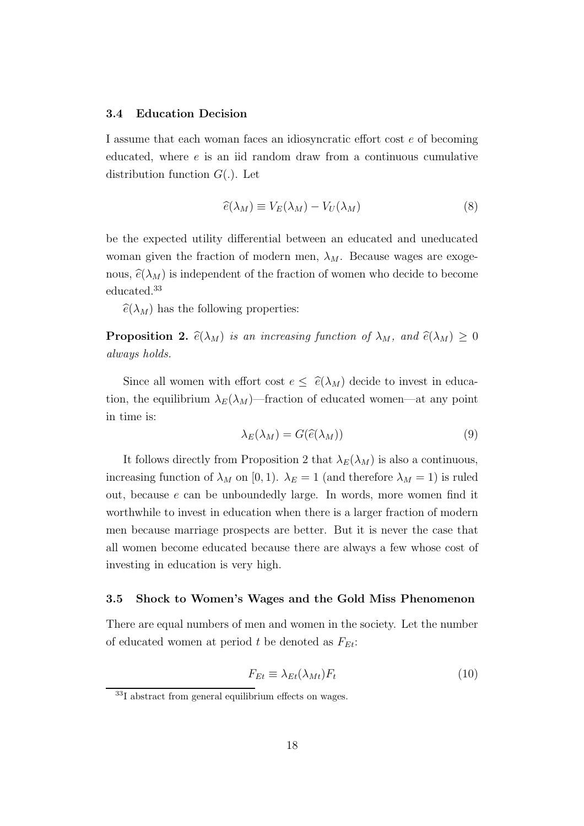# 3.4 Education Decision

I assume that each woman faces an idiosyncratic effort cost e of becoming educated, where  $e$  is an iid random draw from a continuous cumulative distribution function  $G(.)$ . Let

$$
\widehat{e}(\lambda_M) \equiv V_E(\lambda_M) - V_U(\lambda_M) \tag{8}
$$

be the expected utility differential between an educated and uneducated woman given the fraction of modern men,  $\lambda_M$ . Because wages are exogenous,  $\hat{e}(\lambda_M)$  is independent of the fraction of women who decide to become educated.<sup>33</sup>

 $\widehat{e}(\lambda_M)$  has the following properties:

**Proposition 2.**  $\widehat{e}(\lambda_M)$  *is an increasing function of*  $\lambda_M$ *, and*  $\widehat{e}(\lambda_M) \geq 0$ *always holds.*

Since all women with effort cost  $e \leq \hat{e}(\lambda_M)$  decide to invest in education, the equilibrium  $\lambda_E(\lambda_M)$ —fraction of educated women—at any point in time is:

$$
\lambda_E(\lambda_M) = G(\widehat{e}(\lambda_M))
$$
\n(9)

It follows directly from Proposition 2 that  $\lambda_E(\lambda_M)$  is also a continuous, increasing function of  $\lambda_M$  on [0, 1].  $\lambda_E = 1$  (and therefore  $\lambda_M = 1$ ) is ruled out, because e can be unboundedly large. In words, more women find it worthwhile to invest in education when there is a larger fraction of modern men because marriage prospects are better. But it is never the case that all women become educated because there are always a few whose cost of investing in education is very high.

# 3.5 Shock to Women's Wages and the Gold Miss Phenomenon

There are equal numbers of men and women in the society. Let the number of educated women at period t be denoted as  $F_{Et}$ :

$$
F_{Et} \equiv \lambda_{Et}(\lambda_{Mt})F_t \tag{10}
$$

<sup>33</sup>I abstract from general equilibrium effects on wages.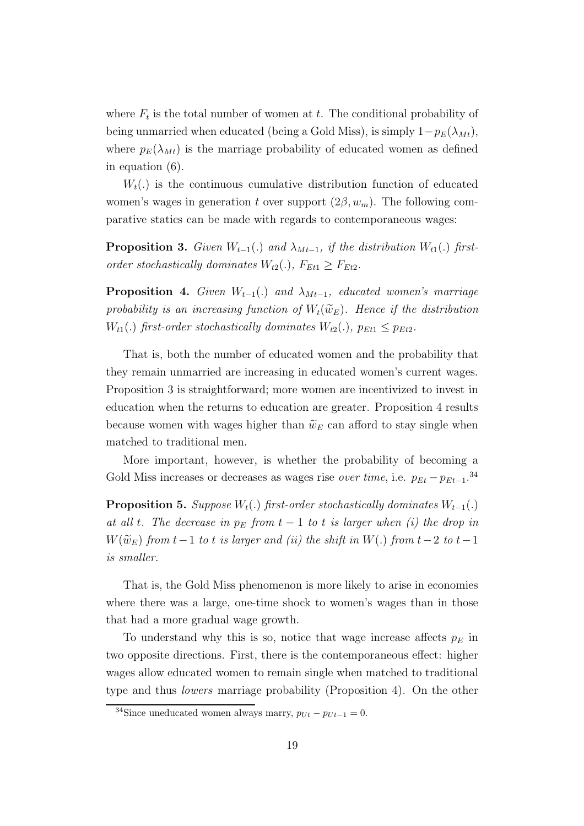where  $F_t$  is the total number of women at t. The conditional probability of being unmarried when educated (being a Gold Miss), is simply  $1-p_E(\lambda_{Mt})$ , where  $p_E(\lambda_{Mt})$  is the marriage probability of educated women as defined in equation (6).

 $W_t(.)$  is the continuous cumulative distribution function of educated women's wages in generation t over support  $(2\beta, w_m)$ . The following comparative statics can be made with regards to contemporaneous wages:

**Proposition 3.** *Given*  $W_{t-1}$ (.) *and*  $\lambda_{Mt-1}$ *, if the distribution*  $W_{t1}$ (.) *firstorder stochastically dominates*  $W_{t2}$ (.),  $F_{Et1} \geq F_{Et2}$ .

**Proposition 4.** *Given*  $W_{t-1}(.)$  *and*  $\lambda_{Mt-1}$ *, educated women's marriage* probability is an increasing function of  $W_t(\widetilde{w}_E)$ . Hence if the distribution  $W_{t1}$ (.) *first-order stochastically dominates*  $W_{t2}$ (.)*,*  $p_{Et1} \leq p_{Et2}$ *.* 

That is, both the number of educated women and the probability that they remain unmarried are increasing in educated women's current wages. Proposition 3 is straightforward; more women are incentivized to invest in education when the returns to education are greater. Proposition 4 results because women with wages higher than  $\tilde{w}_E$  can afford to stay single when matched to traditional men.

More important, however, is whether the probability of becoming a Gold Miss increases or decreases as wages rise *over time*, i.e.  $p_{Et} - p_{Et-1}$ <sup>34</sup>

**Proposition 5.** *Suppose*  $W_t(.)$  *first-order stochastically dominates*  $W_{t-1}(.)$ *at all t. The decrease in*  $p_E$  *from*  $t-1$  *to*  $t$  *is larger when (i) the drop in*  $W(\widetilde{w}_E)$  *from*  $t-1$  *to*  $t$  *is larger and (ii) the shift in*  $W(.)$  *from*  $t-2$  *to*  $t-1$ *is smaller.*

That is, the Gold Miss phenomenon is more likely to arise in economies where there was a large, one-time shock to women's wages than in those that had a more gradual wage growth.

To understand why this is so, notice that wage increase affects  $p_E$  in two opposite directions. First, there is the contemporaneous effect: higher wages allow educated women to remain single when matched to traditional type and thus *lowers* marriage probability (Proposition 4). On the other

<sup>&</sup>lt;sup>34</sup>Since uneducated women always marry,  $p_{Ut} - p_{Ut-1} = 0$ .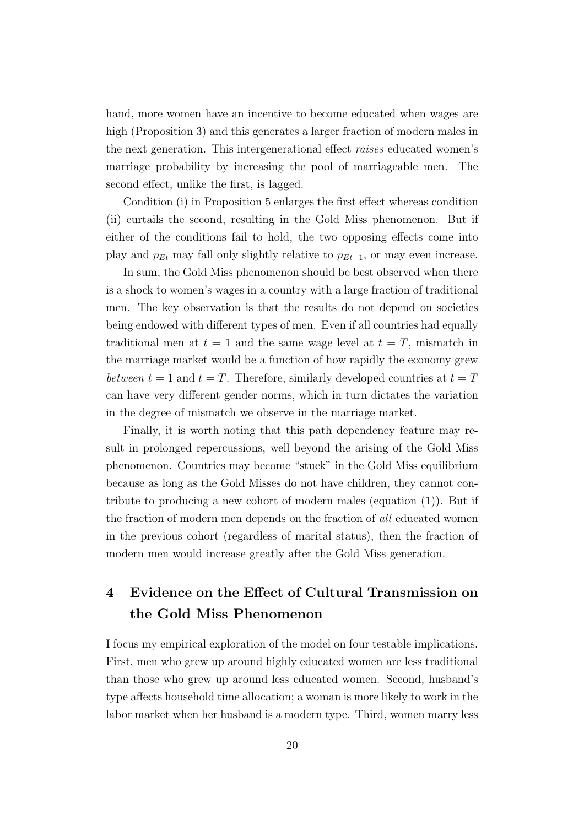hand, more women have an incentive to become educated when wages are high (Proposition 3) and this generates a larger fraction of modern males in the next generation. This intergenerational effect *raises* educated women's marriage probability by increasing the pool of marriageable men. The second effect, unlike the first, is lagged.

Condition (i) in Proposition 5 enlarges the first effect whereas condition (ii) curtails the second, resulting in the Gold Miss phenomenon. But if either of the conditions fail to hold, the two opposing effects come into play and  $p_{Et}$  may fall only slightly relative to  $p_{Et-1}$ , or may even increase.

In sum, the Gold Miss phenomenon should be best observed when there is a shock to women's wages in a country with a large fraction of traditional men. The key observation is that the results do not depend on societies being endowed with different types of men. Even if all countries had equally traditional men at  $t = 1$  and the same wage level at  $t = T$ , mismatch in the marriage market would be a function of how rapidly the economy grew *between*  $t = 1$  and  $t = T$ . Therefore, similarly developed countries at  $t = T$ can have very different gender norms, which in turn dictates the variation in the degree of mismatch we observe in the marriage market.

Finally, it is worth noting that this path dependency feature may result in prolonged repercussions, well beyond the arising of the Gold Miss phenomenon. Countries may become "stuck" in the Gold Miss equilibrium because as long as the Gold Misses do not have children, they cannot contribute to producing a new cohort of modern males (equation (1)). But if the fraction of modern men depends on the fraction of *all* educated women in the previous cohort (regardless of marital status), then the fraction of modern men would increase greatly after the Gold Miss generation.

# 4 Evidence on the Effect of Cultural Transmission on the Gold Miss Phenomenon

I focus my empirical exploration of the model on four testable implications. First, men who grew up around highly educated women are less traditional than those who grew up around less educated women. Second, husband's type affects household time allocation; a woman is more likely to work in the labor market when her husband is a modern type. Third, women marry less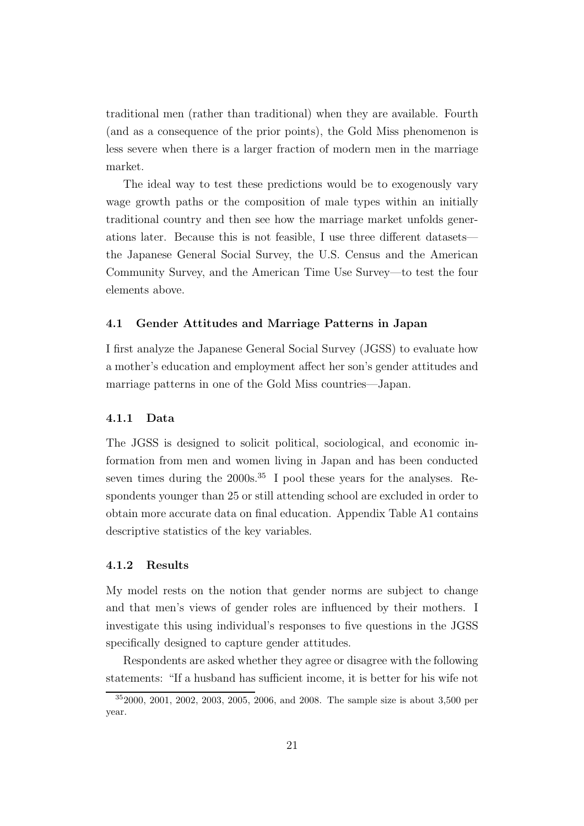traditional men (rather than traditional) when they are available. Fourth (and as a consequence of the prior points), the Gold Miss phenomenon is less severe when there is a larger fraction of modern men in the marriage market.

The ideal way to test these predictions would be to exogenously vary wage growth paths or the composition of male types within an initially traditional country and then see how the marriage market unfolds generations later. Because this is not feasible, I use three different datasets the Japanese General Social Survey, the U.S. Census and the American Community Survey, and the American Time Use Survey—to test the four elements above.

# 4.1 Gender Attitudes and Marriage Patterns in Japan

I first analyze the Japanese General Social Survey (JGSS) to evaluate how a mother's education and employment affect her son's gender attitudes and marriage patterns in one of the Gold Miss countries—Japan.

# 4.1.1 Data

The JGSS is designed to solicit political, sociological, and economic information from men and women living in Japan and has been conducted seven times during the  $2000s^{35}$  I pool these years for the analyses. Respondents younger than 25 or still attending school are excluded in order to obtain more accurate data on final education. Appendix Table A1 contains descriptive statistics of the key variables.

# 4.1.2 Results

My model rests on the notion that gender norms are subject to change and that men's views of gender roles are influenced by their mothers. I investigate this using individual's responses to five questions in the JGSS specifically designed to capture gender attitudes.

Respondents are asked whether they agree or disagree with the following statements: "If a husband has sufficient income, it is better for his wife not

<sup>35</sup>2000, 2001, 2002, 2003, 2005, 2006, and 2008. The sample size is about 3,500 per year.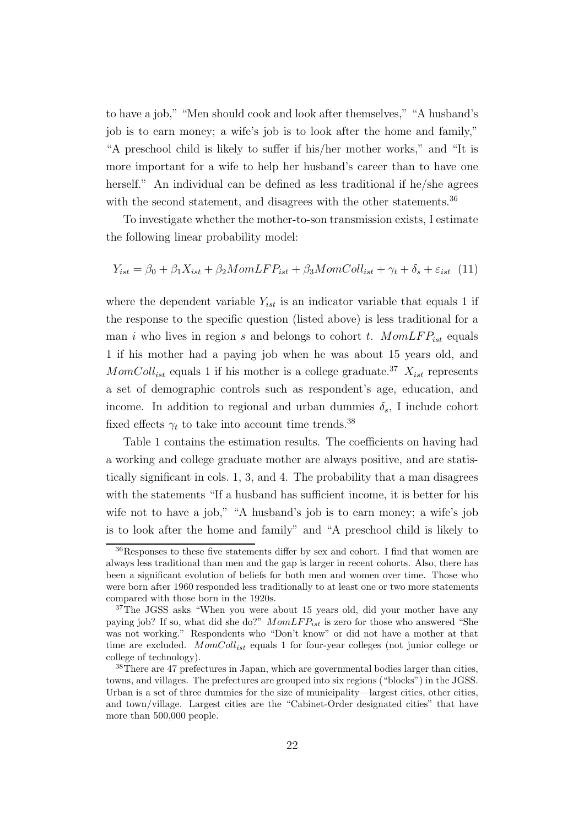to have a job," "Men should cook and look after themselves," "A husband's job is to earn money; a wife's job is to look after the home and family," "A preschool child is likely to suffer if his/her mother works," and "It is more important for a wife to help her husband's career than to have one herself." An individual can be defined as less traditional if he/she agrees with the second statement, and disagrees with the other statements.<sup>36</sup>

To investigate whether the mother-to-son transmission exists, I estimate the following linear probability model:

$$
Y_{ist} = \beta_0 + \beta_1 X_{ist} + \beta_2 M o m L F P_{ist} + \beta_3 M o m Col l_{ist} + \gamma_t + \delta_s + \varepsilon_{ist} \tag{11}
$$

where the dependent variable  $Y_{ist}$  is an indicator variable that equals 1 if the response to the specific question (listed above) is less traditional for a man i who lives in region s and belongs to cohort t.  $MomLFP_{ist}$  equals 1 if his mother had a paying job when he was about 15 years old, and  $MomColl<sub>ist</sub>$  equals 1 if his mother is a college graduate.<sup>37</sup>  $X<sub>ist</sub>$  represents a set of demographic controls such as respondent's age, education, and income. In addition to regional and urban dummies  $\delta_s$ , I include cohort fixed effects  $\gamma_t$  to take into account time trends.<sup>38</sup>

Table 1 contains the estimation results. The coefficients on having had a working and college graduate mother are always positive, and are statistically significant in cols. 1, 3, and 4. The probability that a man disagrees with the statements "If a husband has sufficient income, it is better for his wife not to have a job," "A husband's job is to earn money; a wife's job is to look after the home and family" and "A preschool child is likely to

<sup>36</sup>Responses to these five statements differ by sex and cohort. I find that women are always less traditional than men and the gap is larger in recent cohorts. Also, there has been a significant evolution of beliefs for both men and women over time. Those who were born after 1960 responded less traditionally to at least one or two more statements compared with those born in the 1920s.

<sup>&</sup>lt;sup>37</sup>The JGSS asks "When you were about 15 years old, did your mother have any paying job? If so, what did she do?"  $MomLFP_{ist}$  is zero for those who answered "She was not working." Respondents who "Don't know" or did not have a mother at that time are excluded.  $MomColl_{ist}$  equals 1 for four-year colleges (not junior college or college of technology).

<sup>38</sup>There are 47 prefectures in Japan, which are governmental bodies larger than cities, towns, and villages. The prefectures are grouped into six regions ("blocks") in the JGSS. Urban is a set of three dummies for the size of municipality—largest cities, other cities, and town/village. Largest cities are the "Cabinet-Order designated cities" that have more than 500,000 people.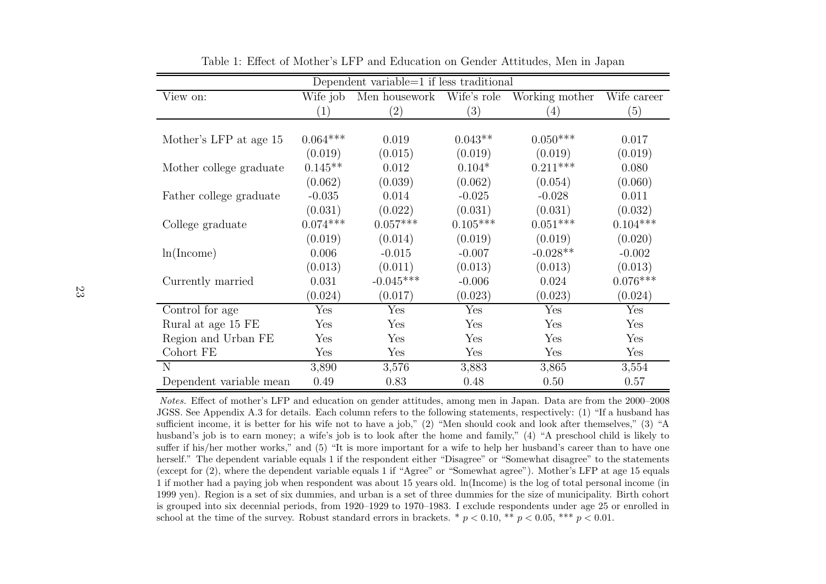| Dependent variable=1 if less traditional |                  |                           |            |                |             |
|------------------------------------------|------------------|---------------------------|------------|----------------|-------------|
| View on:                                 | Wife job         | Men housework Wife's role |            | Working mother | Wife career |
|                                          | $\left(1\right)$ | (2)                       | (3)        | (4)            | (5)         |
|                                          |                  |                           |            |                |             |
| Mother's LFP at age 15                   | $0.064***$       | 0.019                     | $0.043**$  | $0.050***$     | 0.017       |
|                                          | (0.019)          | (0.015)                   | (0.019)    | (0.019)        | (0.019)     |
| Mother college graduate                  | $0.145**$        | 0.012                     | $0.104*$   | $0.211***$     | 0.080       |
|                                          | (0.062)          | (0.039)                   | (0.062)    | (0.054)        | (0.060)     |
| Father college graduate                  | $-0.035$         | 0.014                     | $-0.025$   | $-0.028$       | 0.011       |
|                                          | (0.031)          | (0.022)                   | (0.031)    | (0.031)        | (0.032)     |
| College graduate                         | $0.074***$       | $0.057***$                | $0.105***$ | $0.051***$     | $0.104***$  |
|                                          | (0.019)          | (0.014)                   | (0.019)    | (0.019)        | (0.020)     |
| ln(Income)                               | 0.006            | $-0.015$                  | $-0.007$   | $-0.028**$     | $-0.002$    |
|                                          | (0.013)          | (0.011)                   | (0.013)    | (0.013)        | (0.013)     |
| Currently married                        | 0.031            | $-0.045***$               | $-0.006$   | 0.024          | $0.076***$  |
|                                          | (0.024)          | (0.017)                   | (0.023)    | (0.023)        | (0.024)     |
| Control for age                          | Yes              | Yes                       | Yes        | Yes            | Yes         |
| Rural at age 15 FE                       | Yes              | Yes                       | Yes        | Yes            | Yes         |
| Region and Urban FE                      | Yes              | Yes                       | Yes        | Yes            | Yes         |
| Cohort FE                                | Yes              | Yes                       | Yes        | Yes            | Yes         |
| N                                        | 3,890            | 3,576                     | 3,883      | 3,865          | 3,554       |
| Dependent variable mean                  | 0.49             | 0.83                      | 0.48       | 0.50           | 0.57        |

Table 1: Effect of Mother's LFP and Education on Gender Attitudes, Men in Japan

Notes. Effect of mother's LFP and education on gender attitudes, among men in Japan. Data are from the 2000–2008 JGSS. See Appendix A.3 for details. Each column refers to the following statements, respectively: (1) "If <sup>a</sup> husband has sufficient income, it is better for his wife not to have <sup>a</sup> job," (2) "Men should cook and look after themselves," (3) "A husband's job is to earn money; <sup>a</sup> wife's job is to look after the home and family," (4) "A preschool child is likely to suffer if his/her mother works," and (5) "It is more important for <sup>a</sup> wife to help her husband's career than to have one herself." The dependent variable equals <sup>1</sup> if the respondent either "Disagree" or "Somewhat disagree" to the statements (except for (2), where the dependent variable equals <sup>1</sup> if "Agree" or "Somewhat agree"). Mother's LFP at age <sup>15</sup> equals <sup>1</sup> if mother had <sup>a</sup> paying job when respondent was about <sup>15</sup> years old. ln(Income) is the log of total persona<sup>l</sup> income (in <sup>1999</sup> yen). Region is <sup>a</sup> set of six dummies, and urban is <sup>a</sup> set of three dummies for the size of municipality. Birth cohort is grouped into six decennial periods, from 1920–1929 to 1970–1983. <sup>I</sup> exclude respondents under age <sup>25</sup> or enrolled inschool at the time of the survey. Robust standard errors in brackets.  $*$   $p < 0.10, **$   $p < 0.05, **$   $p < 0.01$ .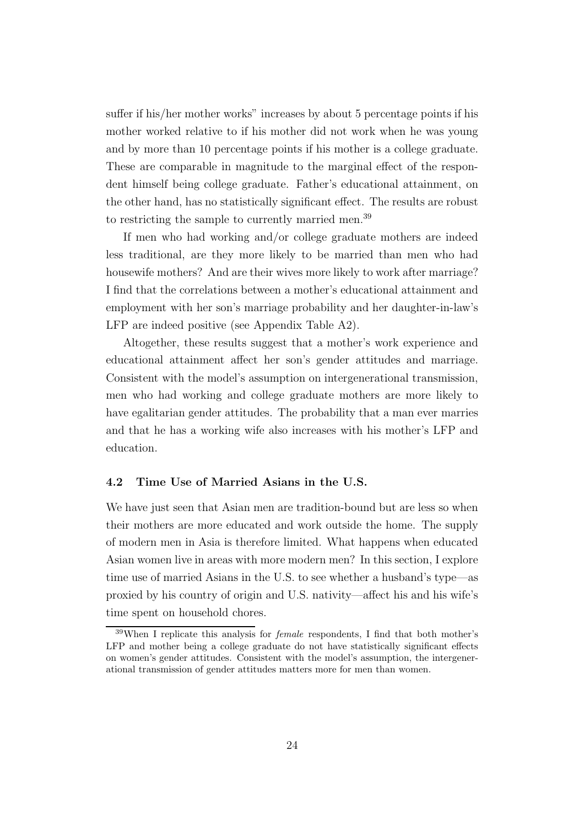suffer if his/her mother works" increases by about 5 percentage points if his mother worked relative to if his mother did not work when he was young and by more than 10 percentage points if his mother is a college graduate. These are comparable in magnitude to the marginal effect of the respondent himself being college graduate. Father's educational attainment, on the other hand, has no statistically significant effect. The results are robust to restricting the sample to currently married men.<sup>39</sup>

If men who had working and/or college graduate mothers are indeed less traditional, are they more likely to be married than men who had housewife mothers? And are their wives more likely to work after marriage? I find that the correlations between a mother's educational attainment and employment with her son's marriage probability and her daughter-in-law's LFP are indeed positive (see Appendix Table A2).

Altogether, these results suggest that a mother's work experience and educational attainment affect her son's gender attitudes and marriage. Consistent with the model's assumption on intergenerational transmission, men who had working and college graduate mothers are more likely to have egalitarian gender attitudes. The probability that a man ever marries and that he has a working wife also increases with his mother's LFP and education.

# 4.2 Time Use of Married Asians in the U.S.

We have just seen that Asian men are tradition-bound but are less so when their mothers are more educated and work outside the home. The supply of modern men in Asia is therefore limited. What happens when educated Asian women live in areas with more modern men? In this section, I explore time use of married Asians in the U.S. to see whether a husband's type—as proxied by his country of origin and U.S. nativity—affect his and his wife's time spent on household chores.

 $39$ When I replicate this analysis for *female* respondents, I find that both mother's LFP and mother being a college graduate do not have statistically significant effects on women's gender attitudes. Consistent with the model's assumption, the intergenerational transmission of gender attitudes matters more for men than women.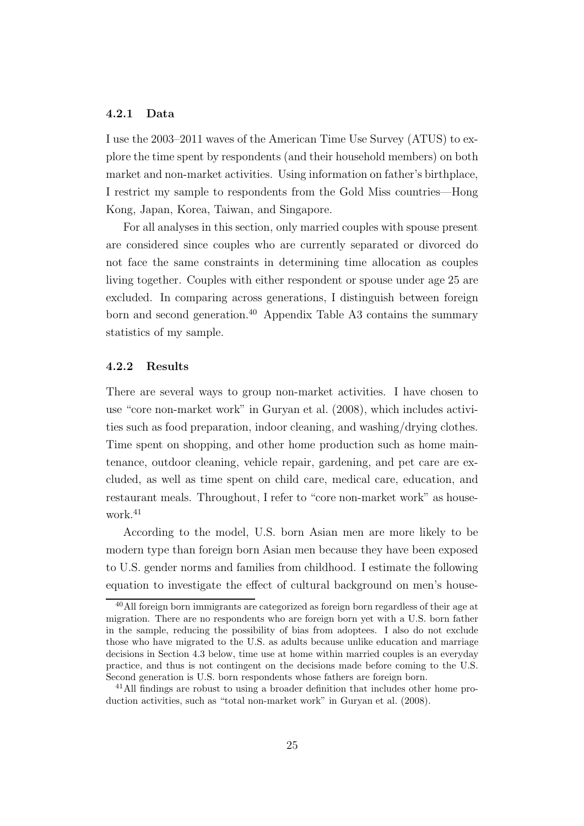# 4.2.1 Data

I use the 2003–2011 waves of the American Time Use Survey (ATUS) to explore the time spent by respondents (and their household members) on both market and non-market activities. Using information on father's birthplace, I restrict my sample to respondents from the Gold Miss countries—Hong Kong, Japan, Korea, Taiwan, and Singapore.

For all analyses in this section, only married couples with spouse present are considered since couples who are currently separated or divorced do not face the same constraints in determining time allocation as couples living together. Couples with either respondent or spouse under age 25 are excluded. In comparing across generations, I distinguish between foreign born and second generation.<sup>40</sup> Appendix Table A3 contains the summary statistics of my sample.

#### 4.2.2 Results

There are several ways to group non-market activities. I have chosen to use "core non-market work" in Guryan et al. (2008), which includes activities such as food preparation, indoor cleaning, and washing/drying clothes. Time spent on shopping, and other home production such as home maintenance, outdoor cleaning, vehicle repair, gardening, and pet care are excluded, as well as time spent on child care, medical care, education, and restaurant meals. Throughout, I refer to "core non-market work" as housework.<sup>41</sup>

According to the model, U.S. born Asian men are more likely to be modern type than foreign born Asian men because they have been exposed to U.S. gender norms and families from childhood. I estimate the following equation to investigate the effect of cultural background on men's house-

 $40$ All foreign born immigrants are categorized as foreign born regardless of their age at migration. There are no respondents who are foreign born yet with a U.S. born father in the sample, reducing the possibility of bias from adoptees. I also do not exclude those who have migrated to the U.S. as adults because unlike education and marriage decisions in Section 4.3 below, time use at home within married couples is an everyday practice, and thus is not contingent on the decisions made before coming to the U.S. Second generation is U.S. born respondents whose fathers are foreign born.

<sup>&</sup>lt;sup>41</sup>All findings are robust to using a broader definition that includes other home production activities, such as "total non-market work" in Guryan et al. (2008).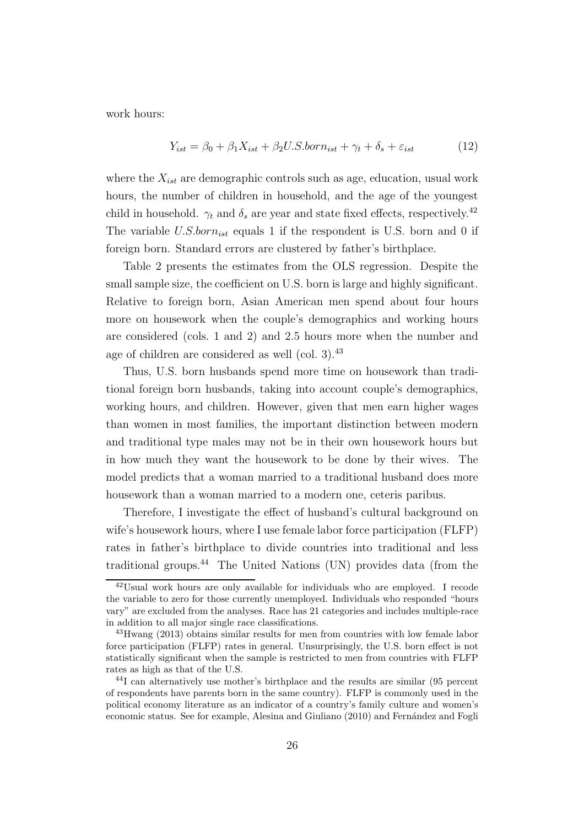work hours:

$$
Y_{ist} = \beta_0 + \beta_1 X_{ist} + \beta_2 U.S.born_{ist} + \gamma_t + \delta_s + \varepsilon_{ist} \tag{12}
$$

where the  $X_{ist}$  are demographic controls such as age, education, usual work hours, the number of children in household, and the age of the youngest child in household.  $\gamma_t$  and  $\delta_s$  are year and state fixed effects, respectively.<sup>42</sup> The variable  $U.S.born_{ist}$  equals 1 if the respondent is U.S. born and 0 if foreign born. Standard errors are clustered by father's birthplace.

Table 2 presents the estimates from the OLS regression. Despite the small sample size, the coefficient on U.S. born is large and highly significant. Relative to foreign born, Asian American men spend about four hours more on housework when the couple's demographics and working hours are considered (cols. 1 and 2) and 2.5 hours more when the number and age of children are considered as well (col. 3).<sup>43</sup>

Thus, U.S. born husbands spend more time on housework than traditional foreign born husbands, taking into account couple's demographics, working hours, and children. However, given that men earn higher wages than women in most families, the important distinction between modern and traditional type males may not be in their own housework hours but in how much they want the housework to be done by their wives. The model predicts that a woman married to a traditional husband does more housework than a woman married to a modern one, ceteris paribus.

Therefore, I investigate the effect of husband's cultural background on wife's housework hours, where I use female labor force participation (FLFP) rates in father's birthplace to divide countries into traditional and less traditional groups.<sup>44</sup> The United Nations (UN) provides data (from the

 $42$ Usual work hours are only available for individuals who are employed. I recode the variable to zero for those currently unemployed. Individuals who responded "hours vary" are excluded from the analyses. Race has 21 categories and includes multiple-race in addition to all major single race classifications.

<sup>&</sup>lt;sup>43</sup>Hwang (2013) obtains similar results for men from countries with low female labor force participation (FLFP) rates in general. Unsurprisingly, the U.S. born effect is not statistically significant when the sample is restricted to men from countries with FLFP rates as high as that of the U.S.

<sup>44</sup>I can alternatively use mother's birthplace and the results are similar (95 percent of respondents have parents born in the same country). FLFP is commonly used in the political economy literature as an indicator of a country's family culture and women's economic status. See for example, Alesina and Giuliano (2010) and Fernández and Fogli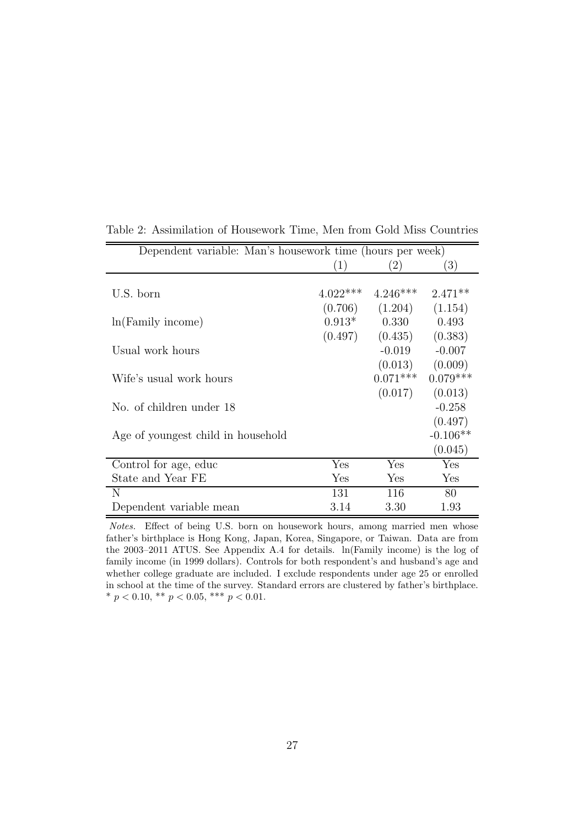| Dependent variable: Man's housework time (hours per week) |            |            |            |  |
|-----------------------------------------------------------|------------|------------|------------|--|
|                                                           | (1)        | (2)        | (3)        |  |
|                                                           |            |            |            |  |
| U.S. born                                                 | $4.022***$ | $4.246***$ | $2.471**$  |  |
|                                                           | (0.706)    | (1.204)    | (1.154)    |  |
| $ln(Family\ income)$                                      | $0.913*$   | 0.330      | 0.493      |  |
|                                                           | (0.497)    | (0.435)    | (0.383)    |  |
| Usual work hours                                          |            | $-0.019$   | $-0.007$   |  |
|                                                           |            | (0.013)    | (0.009)    |  |
| Wife's usual work hours                                   |            | $0.071***$ | $0.079***$ |  |
|                                                           |            | (0.017)    | (0.013)    |  |
| No. of children under 18                                  |            |            | $-0.258$   |  |
|                                                           |            |            | (0.497)    |  |
| Age of youngest child in household                        |            |            | $-0.106**$ |  |
|                                                           |            |            | (0.045)    |  |
| Control for age, educ                                     | Yes        | Yes        | Yes        |  |
| State and Year FE                                         | Yes        | Yes        | Yes        |  |
| N                                                         | 131        | 116        | 80         |  |
| Dependent variable mean                                   | 3.14       | 3.30       | 1.93       |  |

Table 2: Assimilation of Housework Time, Men from Gold Miss Countries

Notes. Effect of being U.S. born on housework hours, among married men whose father's birthplace is Hong Kong, Japan, Korea, Singapore, or Taiwan. Data are from the 2003–2011 ATUS. See Appendix A.4 for details. ln(Family income) is the log of family income (in 1999 dollars). Controls for both respondent's and husband's age and whether college graduate are included. I exclude respondents under age 25 or enrolled in school at the time of the survey. Standard errors are clustered by father's birthplace. \*  $p < 0.10$ , \*\*  $p < 0.05$ , \*\*\*  $p < 0.01$ .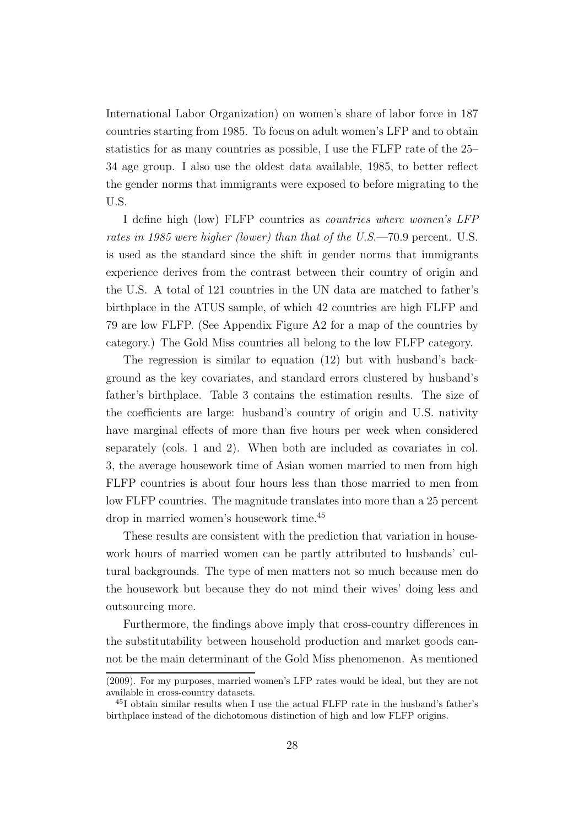International Labor Organization) on women's share of labor force in 187 countries starting from 1985. To focus on adult women's LFP and to obtain statistics for as many countries as possible, I use the FLFP rate of the 25– 34 age group. I also use the oldest data available, 1985, to better reflect the gender norms that immigrants were exposed to before migrating to the U.S.

I define high (low) FLFP countries as *countries where women's LFP rates in 1985 were higher (lower) than that of the U.S*.—70.9 percent. U.S. is used as the standard since the shift in gender norms that immigrants experience derives from the contrast between their country of origin and the U.S. A total of 121 countries in the UN data are matched to father's birthplace in the ATUS sample, of which 42 countries are high FLFP and 79 are low FLFP. (See Appendix Figure A2 for a map of the countries by category.) The Gold Miss countries all belong to the low FLFP category.

The regression is similar to equation (12) but with husband's background as the key covariates, and standard errors clustered by husband's father's birthplace. Table 3 contains the estimation results. The size of the coefficients are large: husband's country of origin and U.S. nativity have marginal effects of more than five hours per week when considered separately (cols. 1 and 2). When both are included as covariates in col. 3, the average housework time of Asian women married to men from high FLFP countries is about four hours less than those married to men from low FLFP countries. The magnitude translates into more than a 25 percent drop in married women's housework time.<sup>45</sup>

These results are consistent with the prediction that variation in housework hours of married women can be partly attributed to husbands' cultural backgrounds. The type of men matters not so much because men do the housework but because they do not mind their wives' doing less and outsourcing more.

Furthermore, the findings above imply that cross-country differences in the substitutability between household production and market goods cannot be the main determinant of the Gold Miss phenomenon. As mentioned

<sup>(2009).</sup> For my purposes, married women's LFP rates would be ideal, but they are not available in cross-country datasets.

<sup>45</sup>I obtain similar results when I use the actual FLFP rate in the husband's father's birthplace instead of the dichotomous distinction of high and low FLFP origins.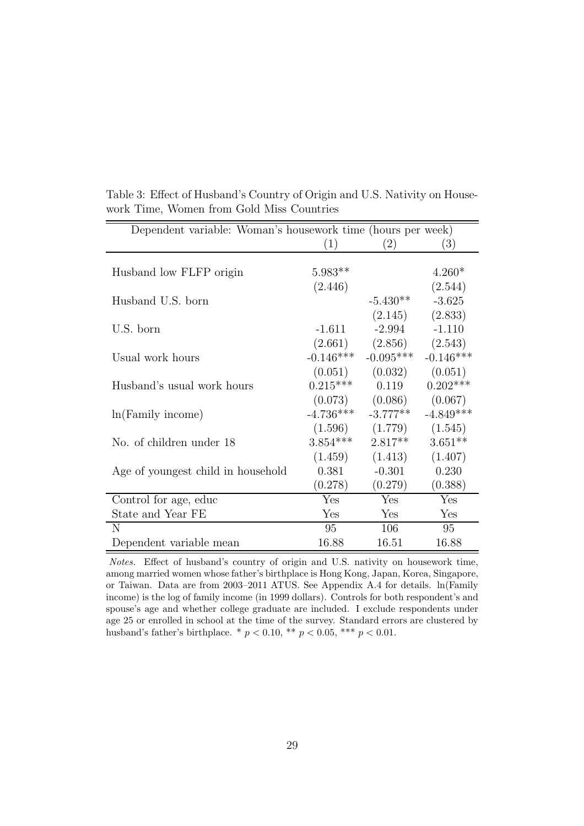| Dependent variable: Woman's housework time (hours per week) |             |                               |                         |
|-------------------------------------------------------------|-------------|-------------------------------|-------------------------|
|                                                             | (1)         | (2)                           | (3)                     |
|                                                             |             |                               |                         |
| Husband low FLFP origin                                     | $5.983**$   |                               | $4.260*$                |
|                                                             | (2.446)     |                               | (2.544)                 |
| Husband U.S. born                                           |             | $-5.430**$                    | $-3.625$                |
|                                                             |             | (2.145)                       | (2.833)                 |
| U.S. born                                                   | $-1.611$    | $-2.994$                      | $-1.110$                |
|                                                             |             | $(2.661)$ $(2.856)$ $(2.543)$ |                         |
| Usual work hours                                            | $-0.146***$ | $-0.095***$                   | $-0.146***$             |
|                                                             |             | $(0.051)$ $(0.032)$           | (0.051)                 |
| Husband's usual work hours                                  | $0.215***$  | 0.119                         | $0.202***$              |
|                                                             |             | $(0.073)$ $(0.086)$           | (0.067)                 |
| $ln(Family\ income)$                                        |             | $-4.736***$ $-3.777**$        | $-4.849***$             |
|                                                             |             | $(1.596)$ $(1.779)$ $(1.545)$ |                         |
| No. of children under 18                                    |             | $3.854***$ $2.817**$          | $3.651**$               |
|                                                             |             | $(1.459)$ $(1.413)$           | (1.407)                 |
| Age of youngest child in household                          | 0.381       | $-0.301$                      | 0.230                   |
|                                                             | (0.278)     | (0.279)                       | (0.388)                 |
| Control for age, educ                                       | Yes         | Yes                           | $\overline{\text{Yes}}$ |
| State and Year FE                                           | Yes         | Yes                           | Yes                     |
| N                                                           | 95          | 106                           | 95                      |
| Dependent variable mean                                     | 16.88       | 16.51                         | 16.88                   |

Table 3: Effect of Husband's Country of Origin and U.S. Nativity on Housework Time, Women from Gold Miss Countries

Notes. Effect of husband's country of origin and U.S. nativity on housework time, among married women whose father's birthplace is Hong Kong, Japan, Korea, Singapore, or Taiwan. Data are from 2003–2011 ATUS. See Appendix A.4 for details. ln(Family income) is the log of family income (in 1999 dollars). Controls for both respondent's and spouse's age and whether college graduate are included. I exclude respondents under age 25 or enrolled in school at the time of the survey. Standard errors are clustered by husband's father's birthplace. \* $p < 0.10,$  \*\* $p < 0.05,$  \*\*\* $p < 0.01.$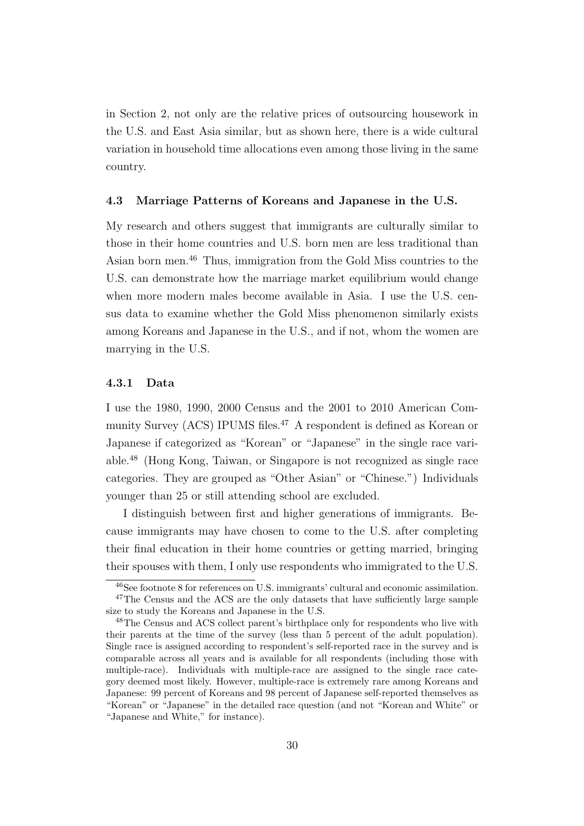in Section 2, not only are the relative prices of outsourcing housework in the U.S. and East Asia similar, but as shown here, there is a wide cultural variation in household time allocations even among those living in the same country.

#### 4.3 Marriage Patterns of Koreans and Japanese in the U.S.

My research and others suggest that immigrants are culturally similar to those in their home countries and U.S. born men are less traditional than Asian born men.<sup>46</sup> Thus, immigration from the Gold Miss countries to the U.S. can demonstrate how the marriage market equilibrium would change when more modern males become available in Asia. I use the U.S. census data to examine whether the Gold Miss phenomenon similarly exists among Koreans and Japanese in the U.S., and if not, whom the women are marrying in the U.S.

# 4.3.1 Data

I use the 1980, 1990, 2000 Census and the 2001 to 2010 American Community Survey (ACS) IPUMS files.<sup>47</sup> A respondent is defined as Korean or Japanese if categorized as "Korean" or "Japanese" in the single race variable.<sup>48</sup> (Hong Kong, Taiwan, or Singapore is not recognized as single race categories. They are grouped as "Other Asian" or "Chinese.") Individuals younger than 25 or still attending school are excluded.

I distinguish between first and higher generations of immigrants. Because immigrants may have chosen to come to the U.S. after completing their final education in their home countries or getting married, bringing their spouses with them, I only use respondents who immigrated to the U.S.

<sup>46</sup>See footnote 8 for references on U.S. immigrants' cultural and economic assimilation. <sup>47</sup>The Census and the ACS are the only datasets that have sufficiently large sample size to study the Koreans and Japanese in the U.S.

<sup>48</sup>The Census and ACS collect parent's birthplace only for respondents who live with their parents at the time of the survey (less than 5 percent of the adult population). Single race is assigned according to respondent's self-reported race in the survey and is comparable across all years and is available for all respondents (including those with multiple-race). Individuals with multiple-race are assigned to the single race category deemed most likely. However, multiple-race is extremely rare among Koreans and Japanese: 99 percent of Koreans and 98 percent of Japanese self-reported themselves as "Korean" or "Japanese" in the detailed race question (and not "Korean and White" or "Japanese and White," for instance).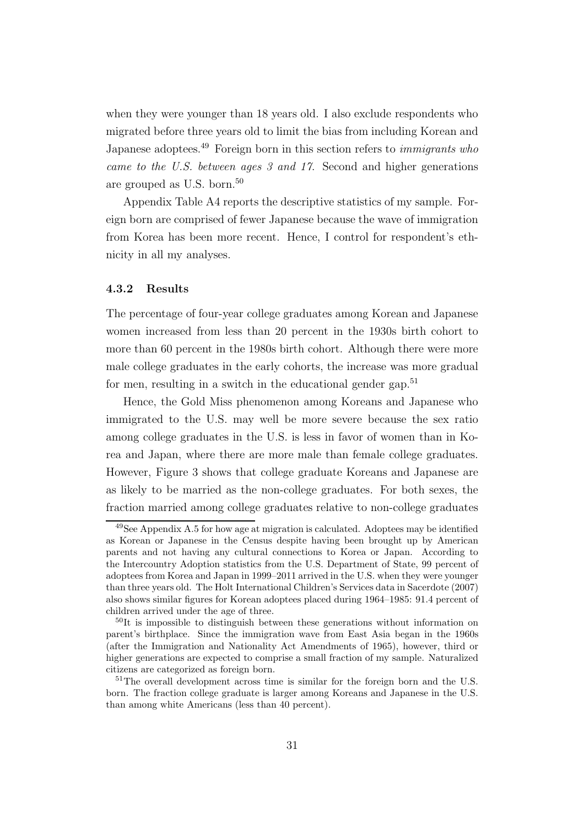when they were younger than 18 years old. I also exclude respondents who migrated before three years old to limit the bias from including Korean and Japanese adoptees.<sup>49</sup> Foreign born in this section refers to *immigrants who came to the U.S. between ages 3 and 17*. Second and higher generations are grouped as U.S. born.<sup>50</sup>

Appendix Table A4 reports the descriptive statistics of my sample. Foreign born are comprised of fewer Japanese because the wave of immigration from Korea has been more recent. Hence, I control for respondent's ethnicity in all my analyses.

# 4.3.2 Results

The percentage of four-year college graduates among Korean and Japanese women increased from less than 20 percent in the 1930s birth cohort to more than 60 percent in the 1980s birth cohort. Although there were more male college graduates in the early cohorts, the increase was more gradual for men, resulting in a switch in the educational gender gap.<sup>51</sup>

Hence, the Gold Miss phenomenon among Koreans and Japanese who immigrated to the U.S. may well be more severe because the sex ratio among college graduates in the U.S. is less in favor of women than in Korea and Japan, where there are more male than female college graduates. However, Figure 3 shows that college graduate Koreans and Japanese are as likely to be married as the non-college graduates. For both sexes, the fraction married among college graduates relative to non-college graduates

<sup>49</sup>See Appendix A.5 for how age at migration is calculated. Adoptees may be identified as Korean or Japanese in the Census despite having been brought up by American parents and not having any cultural connections to Korea or Japan. According to the Intercountry Adoption statistics from the U.S. Department of State, 99 percent of adoptees from Korea and Japan in 1999–2011 arrived in the U.S. when they were younger than three years old. The Holt International Children's Services data in Sacerdote (2007) also shows similar figures for Korean adoptees placed during 1964–1985: 91.4 percent of children arrived under the age of three.

 $50$ It is impossible to distinguish between these generations without information on parent's birthplace. Since the immigration wave from East Asia began in the 1960s (after the Immigration and Nationality Act Amendments of 1965), however, third or higher generations are expected to comprise a small fraction of my sample. Naturalized citizens are categorized as foreign born.

<sup>51</sup>The overall development across time is similar for the foreign born and the U.S. born. The fraction college graduate is larger among Koreans and Japanese in the U.S. than among white Americans (less than 40 percent).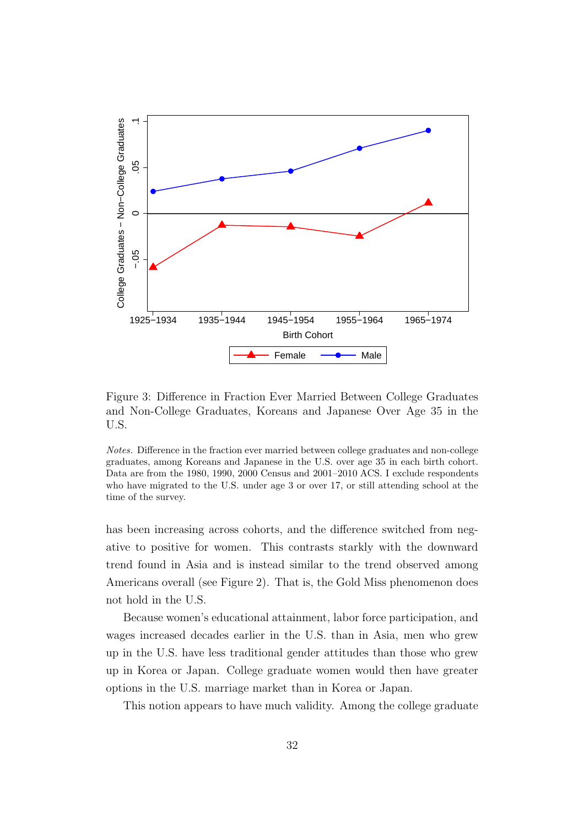

Figure 3: Difference in Fraction Ever Married Between College Graduates and Non-College Graduates, Koreans and Japanese Over Age 35 in the U.S.

Notes. Difference in the fraction ever married between college graduates and non-college graduates, among Koreans and Japanese in the U.S. over age 35 in each birth cohort. Data are from the 1980, 1990, 2000 Census and 2001–2010 ACS. I exclude respondents who have migrated to the U.S. under age 3 or over 17, or still attending school at the time of the survey.

has been increasing across cohorts, and the difference switched from negative to positive for women. This contrasts starkly with the downward trend found in Asia and is instead similar to the trend observed among Americans overall (see Figure 2). That is, the Gold Miss phenomenon does not hold in the U.S.

Because women's educational attainment, labor force participation, and wages increased decades earlier in the U.S. than in Asia, men who grew up in the U.S. have less traditional gender attitudes than those who grew up in Korea or Japan. College graduate women would then have greater options in the U.S. marriage market than in Korea or Japan.

This notion appears to have much validity. Among the college graduate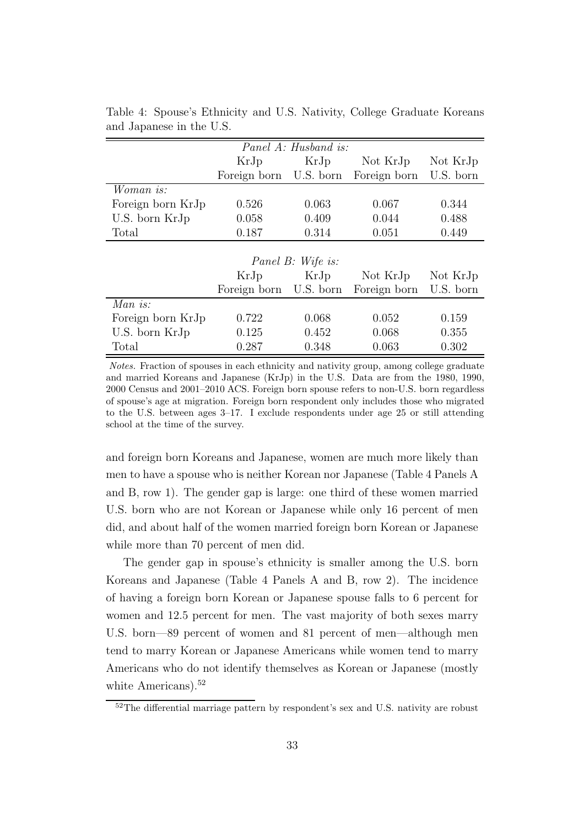| Panel A: Husband is: |                        |                   |              |           |  |  |
|----------------------|------------------------|-------------------|--------------|-----------|--|--|
|                      | KrJp                   | KrJp              | Not KrJp     | Not KrJp  |  |  |
|                      | Foreign born U.S. born |                   | Foreign born | U.S. born |  |  |
| <i>Woman is:</i>     |                        |                   |              |           |  |  |
| Foreign born KrJp    | 0.526                  | 0.063             | 0.067        | 0.344     |  |  |
| U.S. born KrJp       | 0.058                  | 0.409             | 0.044        | 0.488     |  |  |
| Total                | 0.187                  | 0.314             | 0.051        | 0.449     |  |  |
|                      |                        |                   |              |           |  |  |
|                      |                        | Panel B: Wife is: |              |           |  |  |
|                      | KrJp                   | KrJp              | Not KrJp     | Not KrJp  |  |  |
|                      | Foreign born U.S. born |                   | Foreign born | U.S. born |  |  |
| Man is:              |                        |                   |              |           |  |  |
| Foreign born KrJp    | 0.722                  | 0.068             | 0.052        | 0.159     |  |  |
| U.S. born KrJp       | 0.125                  | 0.452             | 0.068        | 0.355     |  |  |
| Total                | 0.287                  | 0.348             | 0.063        | 0.302     |  |  |

Table 4: Spouse's Ethnicity and U.S. Nativity, College Graduate Koreans and Japanese in the U.S.

Notes. Fraction of spouses in each ethnicity and nativity group, among college graduate and married Koreans and Japanese (KrJp) in the U.S. Data are from the 1980, 1990, 2000 Census and 2001–2010 ACS. Foreign born spouse refers to non-U.S. born regardless of spouse's age at migration. Foreign born respondent only includes those who migrated to the U.S. between ages 3–17. I exclude respondents under age 25 or still attending school at the time of the survey.

and foreign born Koreans and Japanese, women are much more likely than men to have a spouse who is neither Korean nor Japanese (Table 4 Panels A and B, row 1). The gender gap is large: one third of these women married U.S. born who are not Korean or Japanese while only 16 percent of men did, and about half of the women married foreign born Korean or Japanese while more than 70 percent of men did.

The gender gap in spouse's ethnicity is smaller among the U.S. born Koreans and Japanese (Table 4 Panels A and B, row 2). The incidence of having a foreign born Korean or Japanese spouse falls to 6 percent for women and 12.5 percent for men. The vast majority of both sexes marry U.S. born—89 percent of women and 81 percent of men—although men tend to marry Korean or Japanese Americans while women tend to marry Americans who do not identify themselves as Korean or Japanese (mostly white Americans).<sup>52</sup>

<sup>&</sup>lt;sup>52</sup>The differential marriage pattern by respondent's sex and U.S. nativity are robust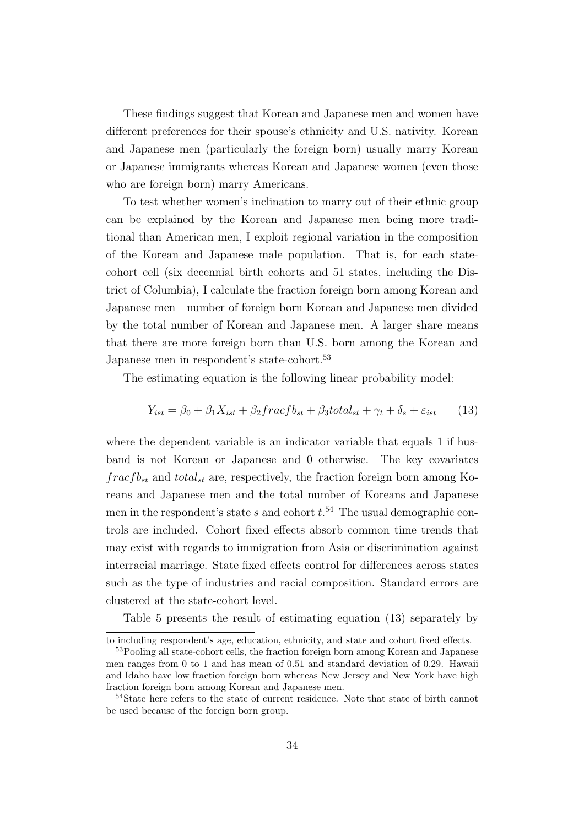These findings suggest that Korean and Japanese men and women have different preferences for their spouse's ethnicity and U.S. nativity. Korean and Japanese men (particularly the foreign born) usually marry Korean or Japanese immigrants whereas Korean and Japanese women (even those who are foreign born) marry Americans.

To test whether women's inclination to marry out of their ethnic group can be explained by the Korean and Japanese men being more traditional than American men, I exploit regional variation in the composition of the Korean and Japanese male population. That is, for each statecohort cell (six decennial birth cohorts and 51 states, including the District of Columbia), I calculate the fraction foreign born among Korean and Japanese men—number of foreign born Korean and Japanese men divided by the total number of Korean and Japanese men. A larger share means that there are more foreign born than U.S. born among the Korean and Japanese men in respondent's state-cohort.<sup>53</sup>

The estimating equation is the following linear probability model:

$$
Y_{ist} = \beta_0 + \beta_1 X_{ist} + \beta_2 \frac{f}{\text{rac}} \frac{f}{\text{c}t} + \beta_3 \frac{t}{\text{cd}t}_{st} + \gamma_t + \delta_s + \varepsilon_{ist} \tag{13}
$$

where the dependent variable is an indicator variable that equals 1 if husband is not Korean or Japanese and 0 otherwise. The key covariates  $fracf{bc}$  and  $total_{st}$  are, respectively, the fraction foreign born among Koreans and Japanese men and the total number of Koreans and Japanese men in the respondent's state s and cohort  $t.^{54}$  The usual demographic controls are included. Cohort fixed effects absorb common time trends that may exist with regards to immigration from Asia or discrimination against interracial marriage. State fixed effects control for differences across states such as the type of industries and racial composition. Standard errors are clustered at the state-cohort level.

Table 5 presents the result of estimating equation (13) separately by

to including respondent's age, education, ethnicity, and state and cohort fixed effects.

<sup>53</sup>Pooling all state-cohort cells, the fraction foreign born among Korean and Japanese men ranges from 0 to 1 and has mean of 0.51 and standard deviation of 0.29. Hawaii and Idaho have low fraction foreign born whereas New Jersey and New York have high fraction foreign born among Korean and Japanese men.

<sup>54</sup>State here refers to the state of current residence. Note that state of birth cannot be used because of the foreign born group.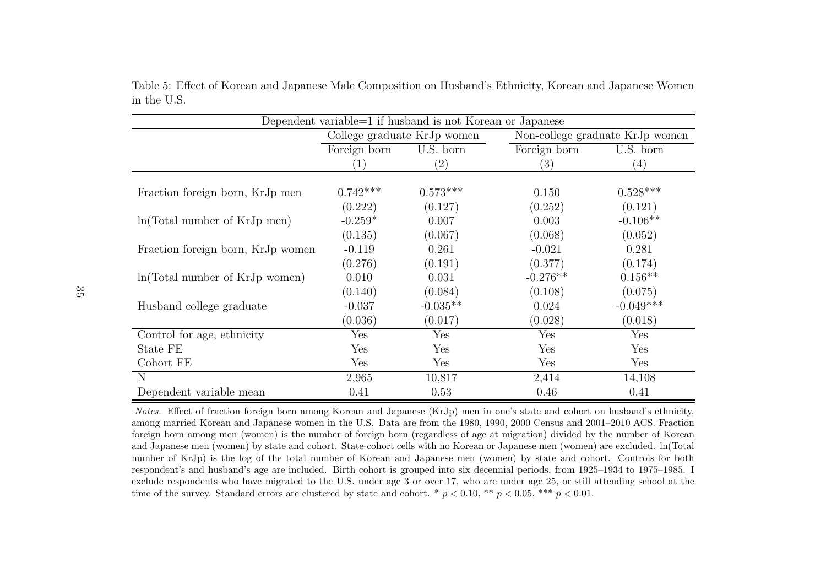| Dependent variable=1 if husband is not Korean or Japanese |                  |                             |              |                                 |  |
|-----------------------------------------------------------|------------------|-----------------------------|--------------|---------------------------------|--|
|                                                           |                  | College graduate KrJp women |              | Non-college graduate KrJp women |  |
|                                                           | Foreign born     | U.S. born                   | Foreign born | U.S. born                       |  |
|                                                           | $\left(1\right)$ | $\left( 2\right)$           | (3)          | $\left(4\right)$                |  |
| Fraction foreign born, KrJp men                           | $0.742***$       | $0.573***$                  | 0.150        | $0.528***$                      |  |
|                                                           | (0.222)          | (0.127)                     | (0.252)      | (0.121)                         |  |
| $ln(Total number of KrJp$ men)                            | $-0.259*$        | 0.007                       | 0.003        | $-0.106**$                      |  |
|                                                           | (0.135)          | (0.067)                     | (0.068)      | (0.052)                         |  |
| Fraction foreign born, KrJp women                         | $-0.119$         | 0.261                       | $-0.021$     | 0.281                           |  |
|                                                           | (0.276)          | (0.191)                     | (0.377)      | (0.174)                         |  |
| ln(Total number of KrJp women)                            | 0.010            | 0.031                       | $-0.276**$   | $0.156**$                       |  |
|                                                           | (0.140)          | (0.084)                     | (0.108)      | (0.075)                         |  |
| Husband college graduate                                  | $-0.037$         | $-0.035**$                  | 0.024        | $-0.049***$                     |  |
|                                                           | (0.036)          | (0.017)                     | (0.028)      | (0.018)                         |  |
| Control for age, ethnicity                                | Yes              | Yes                         | Yes          | Yes                             |  |
| State FE                                                  | Yes              | Yes                         | Yes          | Yes                             |  |
| Cohort FE                                                 | Yes              | Yes                         | Yes          | Yes                             |  |
| N                                                         | 2,965            | 10,817                      | 2,414        | 14,108                          |  |
| Dependent variable mean                                   | 0.41             | 0.53                        | 0.46         | 0.41                            |  |

Table 5: Effect of Korean and Japanese Male Composition on Husband's Ethnicity, Korean and Japanese Womenin the U.S.

Notes. Effect of fraction foreign born among Korean and Japanese (KrJp) men in one's state and cohort on husband's ethnicity, among married Korean and Japanese women in the U.S. Data are from the 1980, 1990, 2000 Census and 2001–2010 ACS. Fraction<br>foreign have energy are (wanna) is the number of foreign have (regardless of are at migration) divid foreign born among men (women) is the number of foreign born (regardless of age at migration) divided by the number of Korean and Japanese men (women) by state and cohort. State-cohort cells with no Korean or Japanese men (women) are excluded. ln(Total number of KrJp) is the log of the total number of Korean and Japanese men (women) by state and cohort. Controls for both respondent's and husband's age are included. Birth cohort is grouped into six decennial periods, from 1925–1934 to 1975–1985. <sup>I</sup> exclude respondents who have migrated to the U.S. under age <sup>3</sup> or over 17, who are under age 25, or still attending school at the time of the survey. Standard errors are clustered by state and cohort.  $*$   $p < 0.10, **$   $p < 0.05, **$   $p < 0.01$ .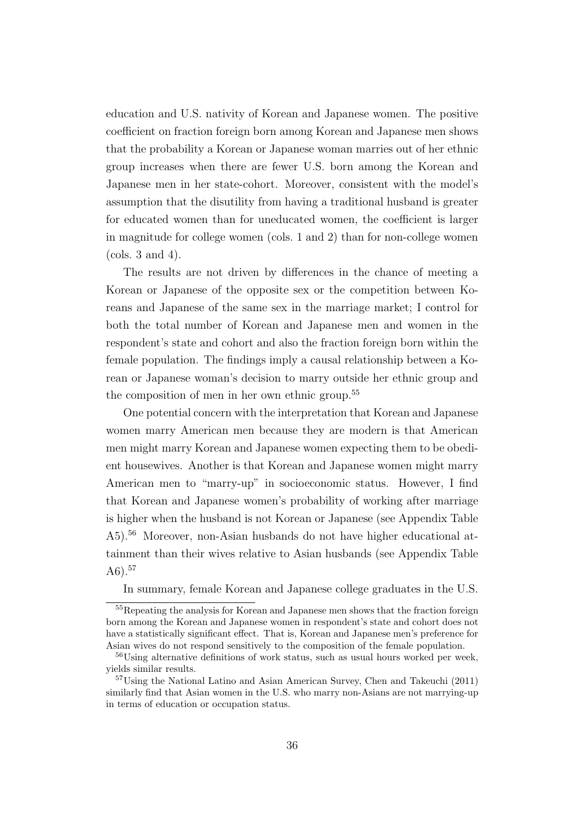education and U.S. nativity of Korean and Japanese women. The positive coefficient on fraction foreign born among Korean and Japanese men shows that the probability a Korean or Japanese woman marries out of her ethnic group increases when there are fewer U.S. born among the Korean and Japanese men in her state-cohort. Moreover, consistent with the model's assumption that the disutility from having a traditional husband is greater for educated women than for uneducated women, the coefficient is larger in magnitude for college women (cols. 1 and 2) than for non-college women (cols. 3 and 4).

The results are not driven by differences in the chance of meeting a Korean or Japanese of the opposite sex or the competition between Koreans and Japanese of the same sex in the marriage market; I control for both the total number of Korean and Japanese men and women in the respondent's state and cohort and also the fraction foreign born within the female population. The findings imply a causal relationship between a Korean or Japanese woman's decision to marry outside her ethnic group and the composition of men in her own ethnic group.<sup>55</sup>

One potential concern with the interpretation that Korean and Japanese women marry American men because they are modern is that American men might marry Korean and Japanese women expecting them to be obedient housewives. Another is that Korean and Japanese women might marry American men to "marry-up" in socioeconomic status. However, I find that Korean and Japanese women's probability of working after marriage is higher when the husband is not Korean or Japanese (see Appendix Table A5).<sup>56</sup> Moreover, non-Asian husbands do not have higher educational attainment than their wives relative to Asian husbands (see Appendix Table A6 $)$ .<sup>57</sup>

In summary, female Korean and Japanese college graduates in the U.S.

<sup>55</sup>Repeating the analysis for Korean and Japanese men shows that the fraction foreign born among the Korean and Japanese women in respondent's state and cohort does not have a statistically significant effect. That is, Korean and Japanese men's preference for Asian wives do not respond sensitively to the composition of the female population.

<sup>56</sup>Using alternative definitions of work status, such as usual hours worked per week, yields similar results.

<sup>57</sup>Using the National Latino and Asian American Survey, Chen and Takeuchi (2011) similarly find that Asian women in the U.S. who marry non-Asians are not marrying-up in terms of education or occupation status.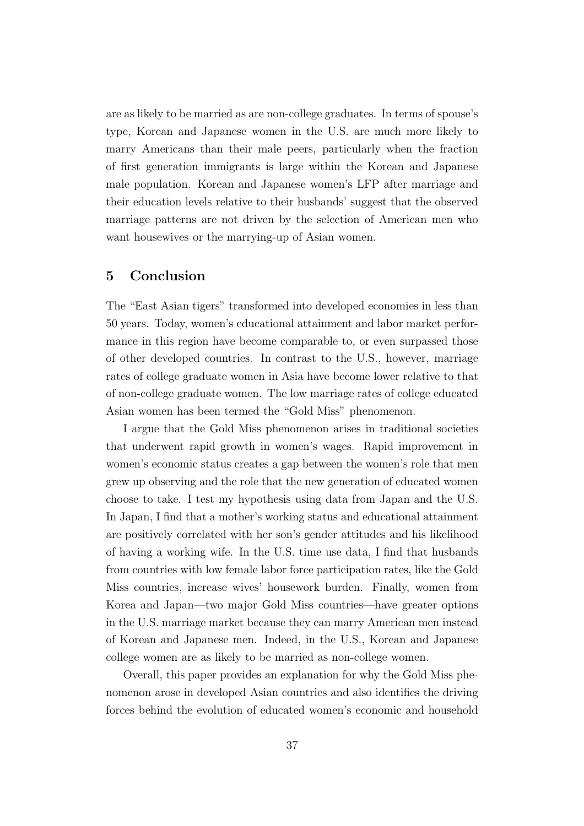are as likely to be married as are non-college graduates. In terms of spouse's type, Korean and Japanese women in the U.S. are much more likely to marry Americans than their male peers, particularly when the fraction of first generation immigrants is large within the Korean and Japanese male population. Korean and Japanese women's LFP after marriage and their education levels relative to their husbands' suggest that the observed marriage patterns are not driven by the selection of American men who want housewives or the marrying-up of Asian women.

# 5 Conclusion

The "East Asian tigers" transformed into developed economies in less than 50 years. Today, women's educational attainment and labor market performance in this region have become comparable to, or even surpassed those of other developed countries. In contrast to the U.S., however, marriage rates of college graduate women in Asia have become lower relative to that of non-college graduate women. The low marriage rates of college educated Asian women has been termed the "Gold Miss" phenomenon.

I argue that the Gold Miss phenomenon arises in traditional societies that underwent rapid growth in women's wages. Rapid improvement in women's economic status creates a gap between the women's role that men grew up observing and the role that the new generation of educated women choose to take. I test my hypothesis using data from Japan and the U.S. In Japan, I find that a mother's working status and educational attainment are positively correlated with her son's gender attitudes and his likelihood of having a working wife. In the U.S. time use data, I find that husbands from countries with low female labor force participation rates, like the Gold Miss countries, increase wives' housework burden. Finally, women from Korea and Japan—two major Gold Miss countries—have greater options in the U.S. marriage market because they can marry American men instead of Korean and Japanese men. Indeed, in the U.S., Korean and Japanese college women are as likely to be married as non-college women.

Overall, this paper provides an explanation for why the Gold Miss phenomenon arose in developed Asian countries and also identifies the driving forces behind the evolution of educated women's economic and household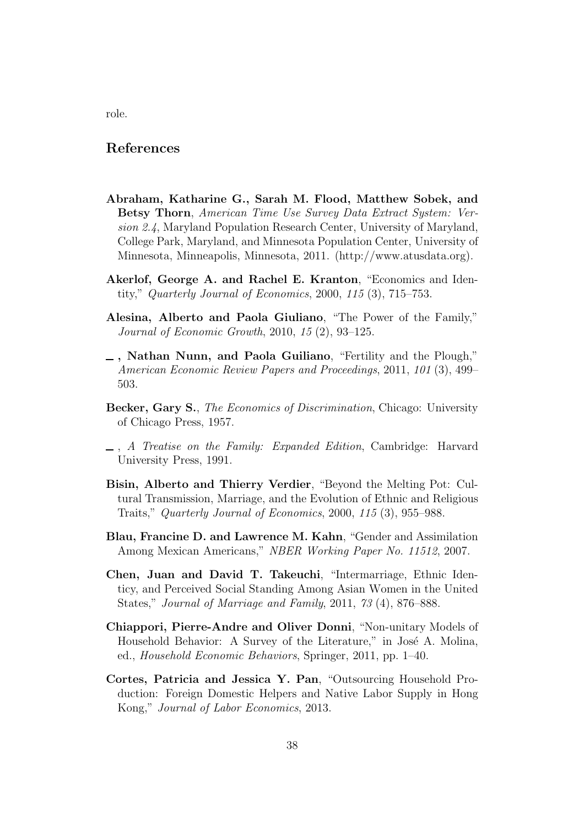# References

- Abraham, Katharine G., Sarah M. Flood, Matthew Sobek, and Betsy Thorn, *American Time Use Survey Data Extract System: Version 2.4*, Maryland Population Research Center, University of Maryland, College Park, Maryland, and Minnesota Population Center, University of Minnesota, Minneapolis, Minnesota, 2011. (http://www.atusdata.org).
- Akerlof, George A. and Rachel E. Kranton, "Economics and Identity," *Quarterly Journal of Economics*, 2000, *115* (3), 715–753.
- Alesina, Alberto and Paola Giuliano, "The Power of the Family," *Journal of Economic Growth*, 2010, *15* (2), 93–125.
- , Nathan Nunn, and Paola Guiliano, "Fertility and the Plough," *American Economic Review Papers and Proceedings*, 2011, *101* (3), 499– 503.
- Becker, Gary S., *The Economics of Discrimination*, Chicago: University of Chicago Press, 1957.
- , *A Treatise on the Family: Expanded Edition*, Cambridge: Harvard University Press, 1991.
- Bisin, Alberto and Thierry Verdier, "Beyond the Melting Pot: Cultural Transmission, Marriage, and the Evolution of Ethnic and Religious Traits," *Quarterly Journal of Economics*, 2000, *115* (3), 955–988.
- Blau, Francine D. and Lawrence M. Kahn, "Gender and Assimilation Among Mexican Americans," *NBER Working Paper No. 11512*, 2007.
- Chen, Juan and David T. Takeuchi, "Intermarriage, Ethnic Identicy, and Perceived Social Standing Among Asian Women in the United States," *Journal of Marriage and Family*, 2011, *73* (4), 876–888.
- Chiappori, Pierre-Andre and Oliver Donni, "Non-unitary Models of Household Behavior: A Survey of the Literature," in José A. Molina, ed., *Household Economic Behaviors*, Springer, 2011, pp. 1–40.
- Cortes, Patricia and Jessica Y. Pan, "Outsourcing Household Production: Foreign Domestic Helpers and Native Labor Supply in Hong Kong," *Journal of Labor Economics*, 2013.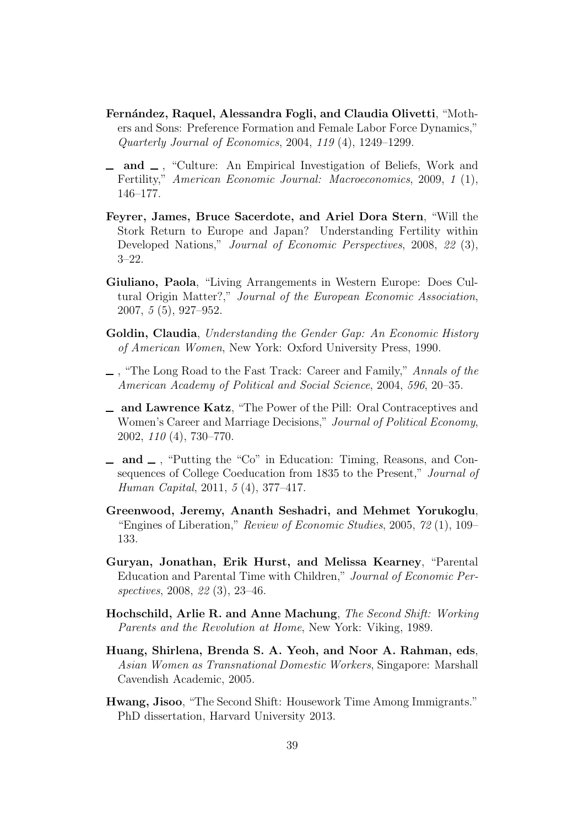- Fernández, Raquel, Alessandra Fogli, and Claudia Olivetti, "Mothers and Sons: Preference Formation and Female Labor Force Dynamics," *Quarterly Journal of Economics*, 2004, *119* (4), 1249–1299.
- $\Box$  and  $\Box$ , "Culture: An Empirical Investigation of Beliefs, Work and Fertility," *American Economic Journal: Macroeconomics*, 2009, *1* (1), 146–177.
- Feyrer, James, Bruce Sacerdote, and Ariel Dora Stern, "Will the Stork Return to Europe and Japan? Understanding Fertility within Developed Nations," *Journal of Economic Perspectives*, 2008, *22* (3), 3–22.
- Giuliano, Paola, "Living Arrangements in Western Europe: Does Cultural Origin Matter?," *Journal of the European Economic Association*, 2007, *5* (5), 927–952.
- Goldin, Claudia, *Understanding the Gender Gap: An Economic History of American Women*, New York: Oxford University Press, 1990.
- , "The Long Road to the Fast Track: Career and Family," *Annals of the American Academy of Political and Social Science*, 2004, *596*, 20–35.
- and Lawrence Katz, "The Power of the Pill: Oral Contraceptives and Women's Career and Marriage Decisions," *Journal of Political Economy*, 2002, *110* (4), 730–770.
- $\Box$  and  $\Box$ , "Putting the "Co" in Education: Timing, Reasons, and Consequences of College Coeducation from 1835 to the Present," *Journal of Human Capital*, 2011, *5* (4), 377–417.
- Greenwood, Jeremy, Ananth Seshadri, and Mehmet Yorukoglu, "Engines of Liberation," *Review of Economic Studies*, 2005, *72* (1), 109– 133.
- Guryan, Jonathan, Erik Hurst, and Melissa Kearney, "Parental Education and Parental Time with Children," *Journal of Economic Perspectives*, 2008, *22* (3), 23–46.
- Hochschild, Arlie R. and Anne Machung, *The Second Shift: Working Parents and the Revolution at Home*, New York: Viking, 1989.
- Huang, Shirlena, Brenda S. A. Yeoh, and Noor A. Rahman, eds, *Asian Women as Transnational Domestic Workers*, Singapore: Marshall Cavendish Academic, 2005.
- Hwang, Jisoo, "The Second Shift: Housework Time Among Immigrants." PhD dissertation, Harvard University 2013.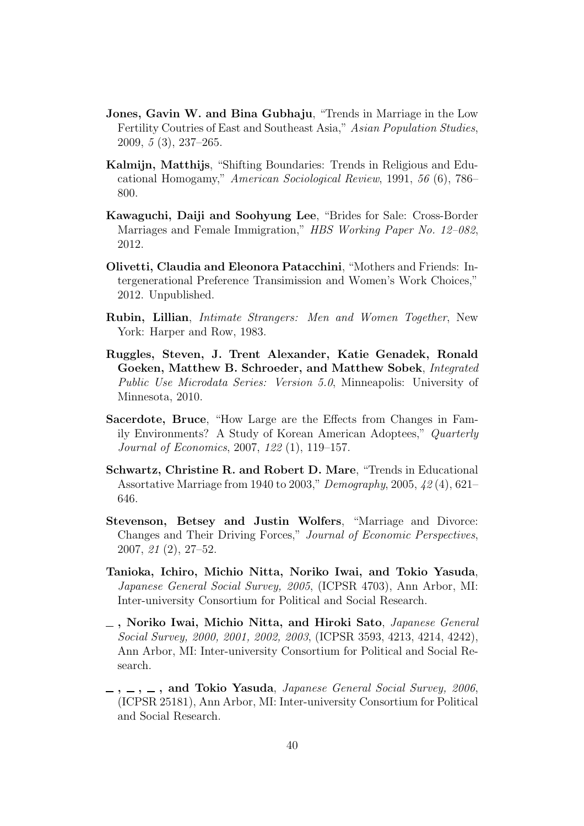- Jones, Gavin W. and Bina Gubhaju, "Trends in Marriage in the Low Fertility Coutries of East and Southeast Asia," *Asian Population Studies*, 2009, *5* (3), 237–265.
- Kalmijn, Matthijs, "Shifting Boundaries: Trends in Religious and Educational Homogamy," *American Sociological Review*, 1991, *56* (6), 786– 800.
- Kawaguchi, Daiji and Soohyung Lee, "Brides for Sale: Cross-Border Marriages and Female Immigration," *HBS Working Paper No. 12–082*, 2012.
- Olivetti, Claudia and Eleonora Patacchini, "Mothers and Friends: Intergenerational Preference Transimission and Women's Work Choices," 2012. Unpublished.
- Rubin, Lillian, *Intimate Strangers: Men and Women Together*, New York: Harper and Row, 1983.
- Ruggles, Steven, J. Trent Alexander, Katie Genadek, Ronald Goeken, Matthew B. Schroeder, and Matthew Sobek, *Integrated Public Use Microdata Series: Version 5.0*, Minneapolis: University of Minnesota, 2010.
- Sacerdote, Bruce, "How Large are the Effects from Changes in Family Environments? A Study of Korean American Adoptees," *Quarterly Journal of Economics*, 2007, *122* (1), 119–157.
- Schwartz, Christine R. and Robert D. Mare, "Trends in Educational Assortative Marriage from 1940 to 2003," *Demography*, 2005, *42* (4), 621– 646.
- Stevenson, Betsey and Justin Wolfers, "Marriage and Divorce: Changes and Their Driving Forces," *Journal of Economic Perspectives*, 2007, *21* (2), 27–52.
- Tanioka, Ichiro, Michio Nitta, Noriko Iwai, and Tokio Yasuda, *Japanese General Social Survey, 2005*, (ICPSR 4703), Ann Arbor, MI: Inter-university Consortium for Political and Social Research.
- , Noriko Iwai, Michio Nitta, and Hiroki Sato, *Japanese General Social Survey, 2000, 2001, 2002, 2003*, (ICPSR 3593, 4213, 4214, 4242), Ann Arbor, MI: Inter-university Consortium for Political and Social Research.
- $\ldots$ ,  $\ldots$ , and Tokio Yasuda, *Japanese General Social Survey, 2006*, (ICPSR 25181), Ann Arbor, MI: Inter-university Consortium for Political and Social Research.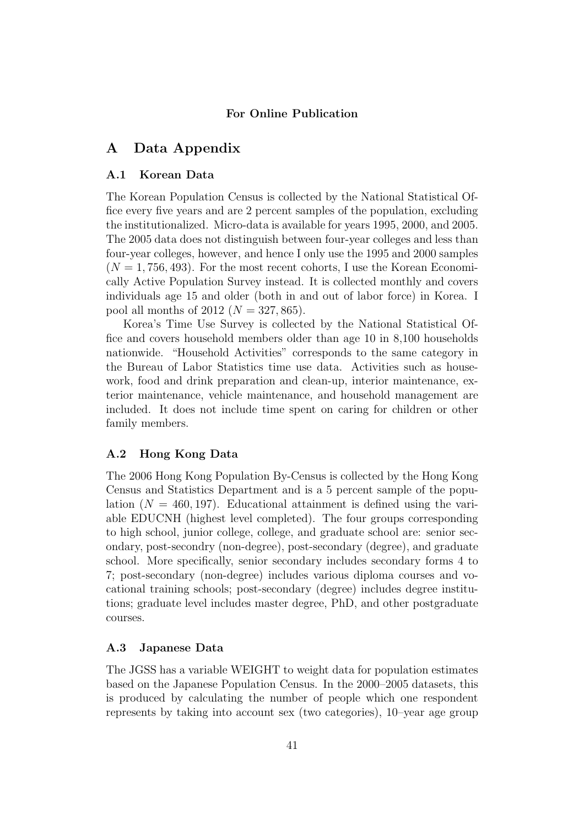# For Online Publication

# A Data Appendix

# A.1 Korean Data

The Korean Population Census is collected by the National Statistical Office every five years and are 2 percent samples of the population, excluding the institutionalized. Micro-data is available for years 1995, 2000, and 2005. The 2005 data does not distinguish between four-year colleges and less than four-year colleges, however, and hence I only use the 1995 and 2000 samples  $(N = 1, 756, 493)$ . For the most recent cohorts, I use the Korean Economically Active Population Survey instead. It is collected monthly and covers individuals age 15 and older (both in and out of labor force) in Korea. I pool all months of 2012 ( $N = 327, 865$ ).

Korea's Time Use Survey is collected by the National Statistical Office and covers household members older than age 10 in 8,100 households nationwide. "Household Activities" corresponds to the same category in the Bureau of Labor Statistics time use data. Activities such as housework, food and drink preparation and clean-up, interior maintenance, exterior maintenance, vehicle maintenance, and household management are included. It does not include time spent on caring for children or other family members.

# A.2 Hong Kong Data

The 2006 Hong Kong Population By-Census is collected by the Hong Kong Census and Statistics Department and is a 5 percent sample of the population  $(N = 460, 197)$ . Educational attainment is defined using the variable EDUCNH (highest level completed). The four groups corresponding to high school, junior college, college, and graduate school are: senior secondary, post-secondry (non-degree), post-secondary (degree), and graduate school. More specifically, senior secondary includes secondary forms 4 to 7; post-secondary (non-degree) includes various diploma courses and vocational training schools; post-secondary (degree) includes degree institutions; graduate level includes master degree, PhD, and other postgraduate courses.

# A.3 Japanese Data

The JGSS has a variable WEIGHT to weight data for population estimates based on the Japanese Population Census. In the 2000–2005 datasets, this is produced by calculating the number of people which one respondent represents by taking into account sex (two categories), 10–year age group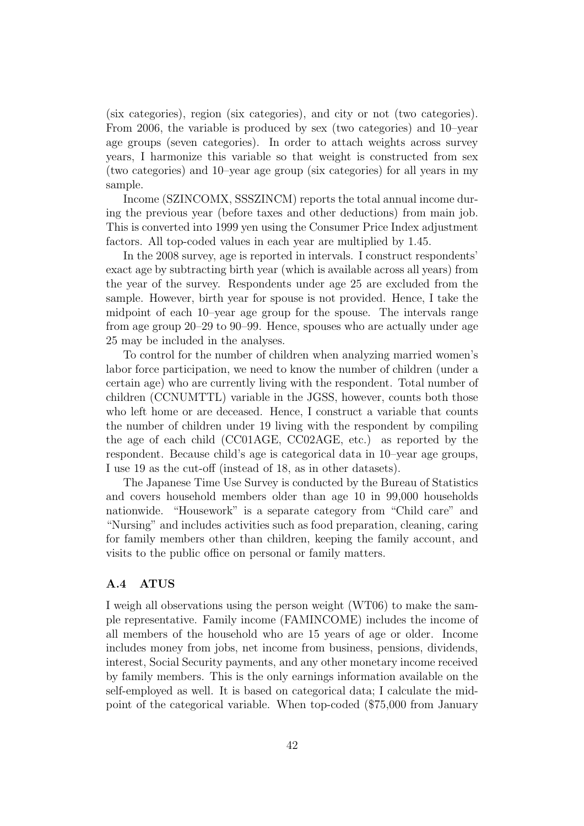(six categories), region (six categories), and city or not (two categories). From 2006, the variable is produced by sex (two categories) and 10–year age groups (seven categories). In order to attach weights across survey years, I harmonize this variable so that weight is constructed from sex (two categories) and 10–year age group (six categories) for all years in my sample.

Income (SZINCOMX, SSSZINCM) reports the total annual income during the previous year (before taxes and other deductions) from main job. This is converted into 1999 yen using the Consumer Price Index adjustment factors. All top-coded values in each year are multiplied by 1.45.

In the 2008 survey, age is reported in intervals. I construct respondents' exact age by subtracting birth year (which is available across all years) from the year of the survey. Respondents under age 25 are excluded from the sample. However, birth year for spouse is not provided. Hence, I take the midpoint of each 10–year age group for the spouse. The intervals range from age group 20–29 to 90–99. Hence, spouses who are actually under age 25 may be included in the analyses.

To control for the number of children when analyzing married women's labor force participation, we need to know the number of children (under a certain age) who are currently living with the respondent. Total number of children (CCNUMTTL) variable in the JGSS, however, counts both those who left home or are deceased. Hence, I construct a variable that counts the number of children under 19 living with the respondent by compiling the age of each child (CC01AGE, CC02AGE, etc.) as reported by the respondent. Because child's age is categorical data in 10–year age groups, I use 19 as the cut-off (instead of 18, as in other datasets).

The Japanese Time Use Survey is conducted by the Bureau of Statistics and covers household members older than age 10 in 99,000 households nationwide. "Housework" is a separate category from "Child care" and "Nursing" and includes activities such as food preparation, cleaning, caring for family members other than children, keeping the family account, and visits to the public office on personal or family matters.

# A.4 ATUS

I weigh all observations using the person weight (WT06) to make the sample representative. Family income (FAMINCOME) includes the income of all members of the household who are 15 years of age or older. Income includes money from jobs, net income from business, pensions, dividends, interest, Social Security payments, and any other monetary income received by family members. This is the only earnings information available on the self-employed as well. It is based on categorical data; I calculate the midpoint of the categorical variable. When top-coded (\$75,000 from January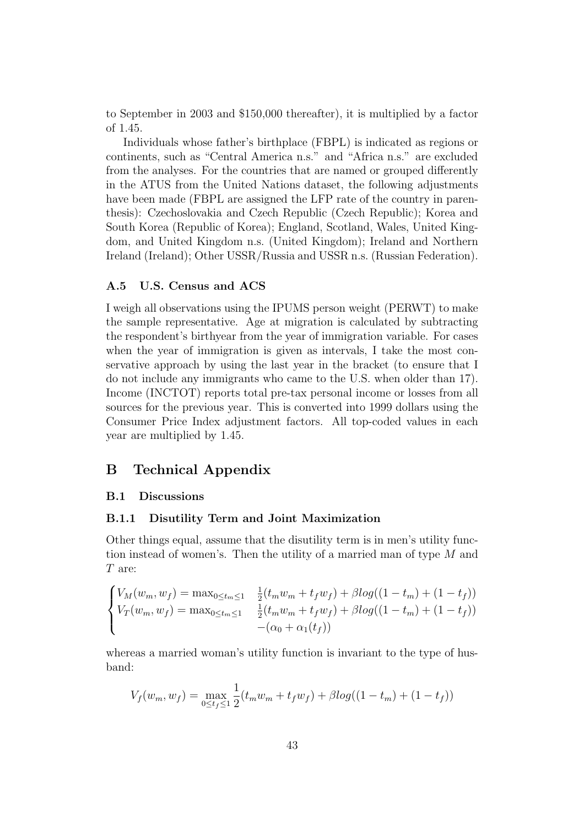to September in 2003 and \$150,000 thereafter), it is multiplied by a factor of 1.45.

Individuals whose father's birthplace (FBPL) is indicated as regions or continents, such as "Central America n.s." and "Africa n.s." are excluded from the analyses. For the countries that are named or grouped differently in the ATUS from the United Nations dataset, the following adjustments have been made (FBPL are assigned the LFP rate of the country in parenthesis): Czechoslovakia and Czech Republic (Czech Republic); Korea and South Korea (Republic of Korea); England, Scotland, Wales, United Kingdom, and United Kingdom n.s. (United Kingdom); Ireland and Northern Ireland (Ireland); Other USSR/Russia and USSR n.s. (Russian Federation).

# A.5 U.S. Census and ACS

I weigh all observations using the IPUMS person weight (PERWT) to make the sample representative. Age at migration is calculated by subtracting the respondent's birthyear from the year of immigration variable. For cases when the year of immigration is given as intervals, I take the most conservative approach by using the last year in the bracket (to ensure that I do not include any immigrants who came to the U.S. when older than 17). Income (INCTOT) reports total pre-tax personal income or losses from all sources for the previous year. This is converted into 1999 dollars using the Consumer Price Index adjustment factors. All top-coded values in each year are multiplied by 1.45.

# B Technical Appendix

# B.1 Discussions

# B.1.1 Disutility Term and Joint Maximization

Other things equal, assume that the disutility term is in men's utility function instead of women's. Then the utility of a married man of type M and T are:

$$
\begin{cases}\nV_M(w_m, w_f) = \max_{0 \le t_m \le 1} & \frac{1}{2}(t_m w_m + t_f w_f) + \beta \log((1 - t_m) + (1 - t_f)) \\
V_T(w_m, w_f) = \max_{0 \le t_m \le 1} & \frac{1}{2}(t_m w_m + t_f w_f) + \beta \log((1 - t_m) + (1 - t_f)) \\
& -(\alpha_0 + \alpha_1(t_f))\n\end{cases}
$$

whereas a married woman's utility function is invariant to the type of husband:

$$
V_f(w_m, w_f) = \max_{0 \le t_f \le 1} \frac{1}{2} (t_m w_m + t_f w_f) + \beta \log((1 - t_m) + (1 - t_f))
$$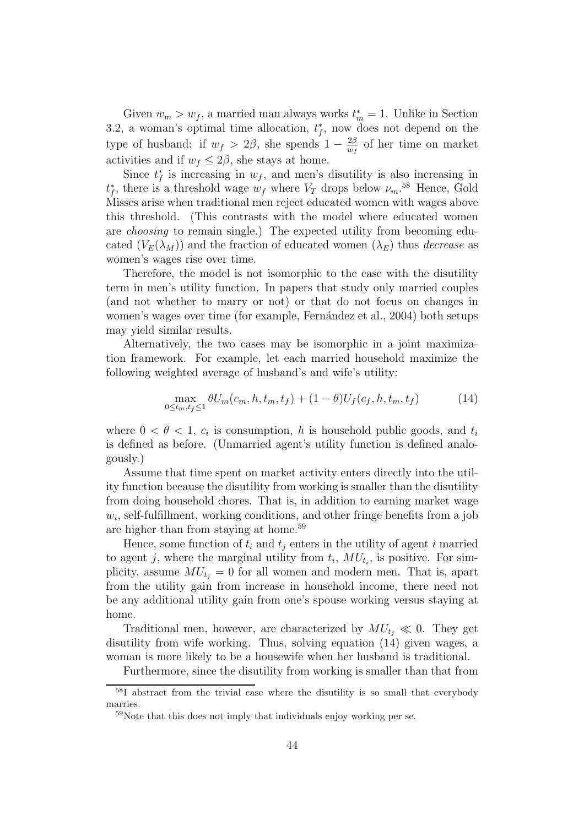Given  $w_m > w_f$ , a married man always works  $t_m^* = 1$ . Unlike in Section 3.2, a woman's optimal time allocation,  $t_f^*$ , now does not depend on the type of husband: if  $w_f > 2\beta$ , she spends  $1 - \frac{2\beta}{w_f}$  $\frac{2\beta}{w_f}$  of her time on market activities and if  $w_f \leq 2\beta$ , she stays at home.

Since  $t_f^*$  is increasing in  $w_f$ , and men's disutility is also increasing in  $t_f^*$ , there is a threshold wage  $w_f$  where  $V_T$  drops below  $\nu_m$ .<sup>58</sup> Hence, Gold Misses arise when traditional men reject educated women with wages above this threshold. (This contrasts with the model where educated women are *choosing* to remain single.) The expected utility from becoming educated  $(V_E(\lambda_M))$  and the fraction of educated women  $(\lambda_E)$  thus *decrease* as women's wages rise over time.

Therefore, the model is not isomorphic to the case with the disutility term in men's utility function. In papers that study only married couples (and not whether to marry or not) or that do not focus on changes in women's wages over time (for example, Fernández et al., 2004) both setups may yield similar results.

Alternatively, the two cases may be isomorphic in a joint maximization framework. For example, let each married household maximize the following weighted average of husband's and wife's utility:

$$
\max_{0 \le t_m, t_f \le 1} \theta U_m(c_m, h, t_m, t_f) + (1 - \theta) U_f(c_f, h, t_m, t_f)
$$
(14)

where  $0 < \theta < 1$ ,  $c_i$  is consumption, h is household public goods, and  $t_i$ is defined as before. (Unmarried agent's utility function is defined analogously.)

Assume that time spent on market activity enters directly into the utility function because the disutility from working is smaller than the disutility from doing household chores. That is, in addition to earning market wage  $w_i$ , self-fulfillment, working conditions, and other fringe benefits from a job are higher than from staying at home.<sup>59</sup>

Hence, some function of  $t_i$  and  $t_j$  enters in the utility of agent i married to agent j, where the marginal utility from  $t_i$ ,  $MU_{t_i}$ , is positive. For simplicity, assume  $MU_{t_i} = 0$  for all women and modern men. That is, apart from the utility gain from increase in household income, there need not be any additional utility gain from one's spouse working versus staying at home.

Traditional men, however, are characterized by  $MU_{t_i} \ll 0$ . They get disutility from wife working. Thus, solving equation (14) given wages, a woman is more likely to be a housewife when her husband is traditional.

Furthermore, since the disutility from working is smaller than that from

<sup>58</sup>I abstract from the trivial case where the disutility is so small that everybody marries.

<sup>&</sup>lt;sup>59</sup>Note that this does not imply that individuals enjoy working per se.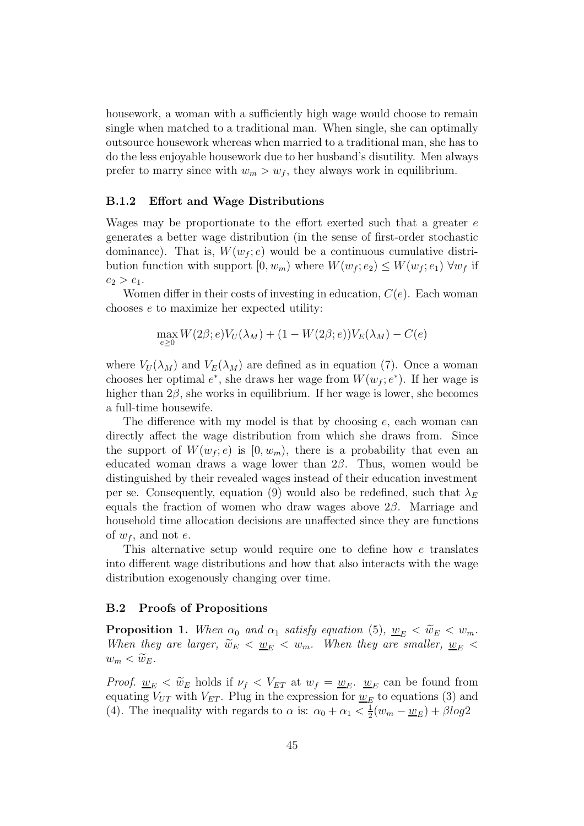housework, a woman with a sufficiently high wage would choose to remain single when matched to a traditional man. When single, she can optimally outsource housework whereas when married to a traditional man, she has to do the less enjoyable housework due to her husband's disutility. Men always prefer to marry since with  $w_m > w_f$ , they always work in equilibrium.

# B.1.2 Effort and Wage Distributions

Wages may be proportionate to the effort exerted such that a greater e generates a better wage distribution (in the sense of first-order stochastic dominance). That is,  $W(w_f; e)$  would be a continuous cumulative distribution function with support  $[0, w_m)$  where  $W(w_f; e_2) \leq W(w_f; e_1) \ \forall w_f$  if  $e_2 > e_1$ .

Women differ in their costs of investing in education,  $C(e)$ . Each woman chooses e to maximize her expected utility:

$$
\max_{e \geq 0} W(2\beta; e)V_U(\lambda_M) + (1 - W(2\beta; e))V_E(\lambda_M) - C(e)
$$

where  $V_U(\lambda_M)$  and  $V_E(\lambda_M)$  are defined as in equation (7). Once a woman chooses her optimal  $e^*$ , she draws her wage from  $W(w_f; e^*)$ . If her wage is higher than  $2\beta$ , she works in equilibrium. If her wage is lower, she becomes a full-time housewife.

The difference with my model is that by choosing  $e$ , each woman can directly affect the wage distribution from which she draws from. Since the support of  $W(w_f; e)$  is  $[0, w_m)$ , there is a probability that even an educated woman draws a wage lower than  $2\beta$ . Thus, women would be distinguished by their revealed wages instead of their education investment per se. Consequently, equation (9) would also be redefined, such that  $\lambda_E$ equals the fraction of women who draw wages above  $2\beta$ . Marriage and household time allocation decisions are unaffected since they are functions of  $w_f$ , and not e.

This alternative setup would require one to define how e translates into different wage distributions and how that also interacts with the wage distribution exogenously changing over time.

# B.2 Proofs of Propositions

**Proposition 1.** When  $\alpha_0$  and  $\alpha_1$  *satisfy equation* (5),  $\underline{w}_E < \widetilde{w}_E < w_m$ . *When they are larger,*  $\widetilde{w}_E < \underline{w}_E < w_m$ *. When they are smaller,*  $\underline{w}_E <$  $w_m < \widetilde{w}_E$ .

*Proof.*  $\underline{w}_E < \widetilde{w}_E$  holds if  $\nu_f < V_{ET}$  at  $w_f = \underline{w}_E$ .  $\underline{w}_E$  can be found from equating  $V_{UT}$  with  $V_{ET}$ . Plug in the expression for  $\underline{w}_E$  to equations (3) and (4). The inequality with regards to  $\alpha$  is:  $\alpha_0 + \alpha_1 < \frac{1}{2}$  $\frac{1}{2}(w_m - \underline{w}_E) + \beta log2$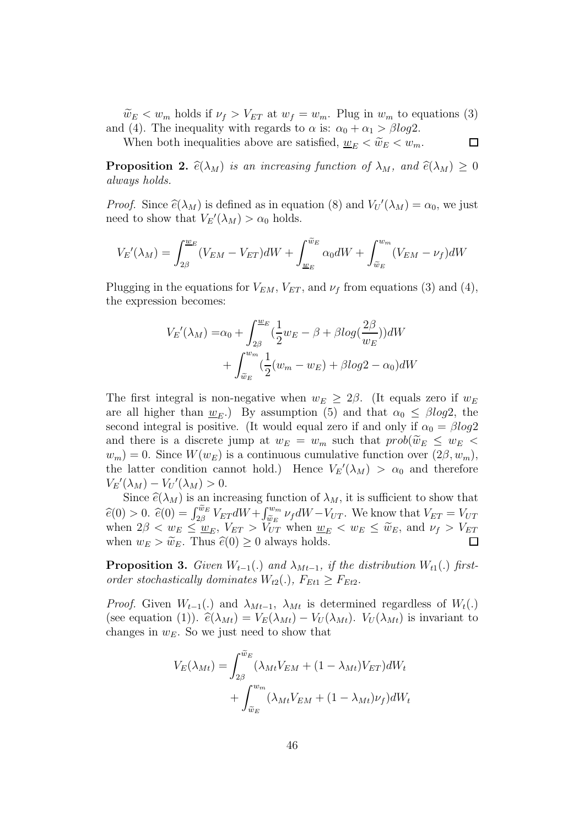$\widetilde{w}_E < w_m$  holds if  $\nu_f > V_{ET}$  at  $w_f = w_m$ . Plug in  $w_m$  to equations (3) and (4). The inequality with regards to  $\alpha$  is:  $\alpha_0 + \alpha_1 > \beta \log 2$ .

 $\Box$ 

When both inequalities above are satisfied,  $\underline{w}_E < \widetilde{w}_E < w_m$ .

**Proposition 2.**  $\hat{e}(\lambda_M)$  *is an increasing function of*  $\lambda_M$ *, and*  $\hat{e}(\lambda_M) \geq 0$ *always holds.*

*Proof.* Since  $\hat{e}(\lambda_M)$  is defined as in equation (8) and  $V_U'(\lambda_M) = \alpha_0$ , we just need to show that  $V_E'(\lambda_M) > \alpha_0$  holds.

$$
V_E'(\lambda_M) = \int_{2\beta}^{\underline{w}_E} (V_{EM} - V_{ET}) dW + \int_{\underline{w}_E}^{\widetilde{w}_E} \alpha_0 dW + \int_{\widetilde{w}_E}^{w_m} (V_{EM} - \nu_f) dW
$$

Plugging in the equations for  $V_{EM}$ ,  $V_{ET}$ , and  $\nu_f$  from equations (3) and (4), the expression becomes:

$$
V_E'(\lambda_M) = \alpha_0 + \int_{2\beta}^{\underline{w}_E} \left(\frac{1}{2}w_E - \beta + \beta \log\left(\frac{2\beta}{w_E}\right)\right)dW
$$

$$
+ \int_{\widetilde{w}_E}^{w_m}\left(\frac{1}{2}(w_m - w_E) + \beta \log 2 - \alpha_0\right)dW
$$

The first integral is non-negative when  $w_E \geq 2\beta$ . (It equals zero if  $w_E$ are all higher than  $w_E$ .) By assumption (5) and that  $\alpha_0 \le \beta \log 2$ , the second integral is positive. (It would equal zero if and only if  $\alpha_0 = \beta \log 2$ and there is a discrete jump at  $w_E = w_m$  such that  $prob(\widetilde{w}_E \leq w_E$  $w_m$ ) = 0. Since  $W(w_E)$  is a continuous cumulative function over  $(2\beta, w_m)$ , the latter condition cannot hold.) Hence  $V_E'(\lambda_M) > \alpha_0$  and therefore  $V_E'(\lambda_M) - V_U'(\lambda_M) > 0.$ 

Since  $\widehat{e}(\lambda_M)$  is an increasing function of  $\lambda_M$ , it is sufficient to show that  $\hat{e}(0) > 0.$   $\hat{e}(0) = \int_{2\beta}^{\widetilde{w}_E} V_{ET} dW + \int_{\widetilde{w}_E}^{w_m} \nu_f dW - V_{UT}$ . We know that  $V_{ET} = V_{UT}$ when  $2\beta < w_E \leq w_E$ ,  $V_{ET} > V_{UT}$  when  $w_E < w_E \leq \tilde{w}_E$ , and  $\nu_f > V_{ET}$ when  $w_E > \tilde{w}_E$ . Thus  $\tilde{e}(0) \geq 0$  always holds.

**Proposition 3.** *Given*  $W_{t-1}(.)$  *and*  $\lambda_{Mt-1}$ *, if the distribution*  $W_{t1}(.)$  *firstorder stochastically dominates*  $W_{t2}$ .),  $F_{Et1} \geq F_{Et2}$ .

*Proof.* Given  $W_{t-1}(.)$  and  $\lambda_{Mt-1}$ ,  $\lambda_{Mt}$  is determined regardless of  $W_t(.)$ (see equation (1)).  $\hat{e}(\lambda_{Mt}) = V_E(\lambda_{Mt}) - V_U(\lambda_{Mt})$ .  $V_U(\lambda_{Mt})$  is invariant to changes in  $w_E$ . So we just need to show that

$$
V_E(\lambda_{Mt}) = \int_{2\beta}^{\widetilde{w}_E} (\lambda_{Mt} V_{EM} + (1 - \lambda_{Mt}) V_{ET}) dW_t
$$
  
+ 
$$
\int_{\widetilde{w}_E}^{w_m} (\lambda_{Mt} V_{EM} + (1 - \lambda_{Mt}) \nu_f) dW_t
$$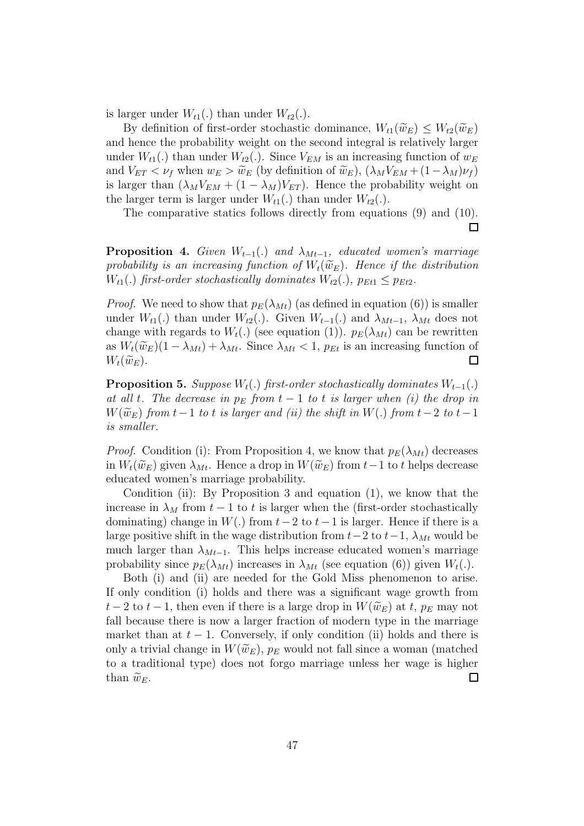is larger under  $W_{t1}(.)$  than under  $W_{t2}(.)$ .

By definition of first-order stochastic dominance,  $W_{t1}(\widetilde{w}_E) \leq W_{t2}(\widetilde{w}_E)$ and hence the probability weight on the second integral is relatively larger under  $W_{t1}$ (.) than under  $W_{t2}$ (.). Since  $V_{EM}$  is an increasing function of  $w_E$ and  $V_{ET} < \nu_f$  when  $w_E > \tilde{w}_E$  (by definition of  $\tilde{w}_E$ ),  $(\lambda_M V_{EM} + (1 - \lambda_M)\nu_f)$ is larger than  $(\lambda_M V_{EM} + (1 - \lambda_M) V_{ET})$ . Hence the probability weight on the larger term is larger under  $W_{t1}$ (.) than under  $W_{t2}$ (.).

The comparative statics follows directly from equations (9) and (10).  $\Box$ 

**Proposition 4.** *Given*  $W_{t-1}(.)$  *and*  $\lambda_{Mt-1}$ *, educated women's marriage* probability is an increasing function of  $W_t(\widetilde{w}_E)$ . Hence if the distribution  $W_{t1}$ (.) *first-order stochastically dominates*  $W_{t2}$ (.)*,*  $p_{Et1} \leq p_{Et2}$ *.* 

*Proof.* We need to show that  $p_E(\lambda_{Mt})$  (as defined in equation (6)) is smaller under  $W_{t1}(.)$  than under  $W_{t2}(.)$ . Given  $W_{t-1}(.)$  and  $\lambda_{Mt-1}, \lambda_{Mt}$  does not change with regards to  $W_t(.)$  (see equation (1)).  $p_E(\lambda_{Mt})$  can be rewritten as  $W_t(\widetilde{w}_E)(1 - \lambda_{Mt}) + \lambda_{Mt}$ . Since  $\lambda_{Mt} < 1$ ,  $p_{Et}$  is an increasing function of  $W_t(\widetilde{w}_E)$ .  $W_t(\widetilde{w}_E).$ 

**Proposition 5.** *Suppose*  $W_t(.)$  *first-order stochastically dominates*  $W_{t-1}(.)$ *at all t.* The decrease in  $p_E$  from  $t-1$  to t is larger when (i) the drop in  $W(\widetilde{w}_E)$  *from*  $t-1$  *to*  $t$  *is larger and (ii) the shift in*  $W(.)$  *from*  $t-2$  *to*  $t-1$ *is smaller.*

*Proof.* Condition (i): From Proposition 4, we know that  $p_E(\lambda_{Mt})$  decreases in  $W_t(\widetilde{w}_E)$  given  $\lambda_{Mt}$ . Hence a drop in  $W(\widetilde{w}_E)$  from  $t-1$  to t helps decrease educated women's marriage probability.

Condition (ii): By Proposition 3 and equation (1), we know that the increase in  $\lambda_M$  from  $t-1$  to t is larger when the (first-order stochastically dominating) change in  $W(.)$  from  $t-2$  to  $t-1$  is larger. Hence if there is a large positive shift in the wage distribution from  $t-2$  to  $t-1$ ,  $\lambda_{Mt}$  would be much larger than  $\lambda_{Mt-1}$ . This helps increase educated women's marriage probability since  $p_E(\lambda_{Mt})$  increases in  $\lambda_{Mt}$  (see equation (6)) given  $W_t(.)$ .

Both (i) and (ii) are needed for the Gold Miss phenomenon to arise. If only condition (i) holds and there was a significant wage growth from  $t-2$  to  $t-1$ , then even if there is a large drop in  $W(\widetilde{w}_E)$  at t,  $p_E$  may not fall because there is now a larger fraction of modern type in the marriage market than at  $t - 1$ . Conversely, if only condition (ii) holds and there is only a trivial change in  $W(\widetilde{w}_E)$ ,  $p_E$  would not fall since a woman (matched to a traditional type) does not forgo marriage unless her wage is higher than  $\widetilde{w}_E$ .  $\Box$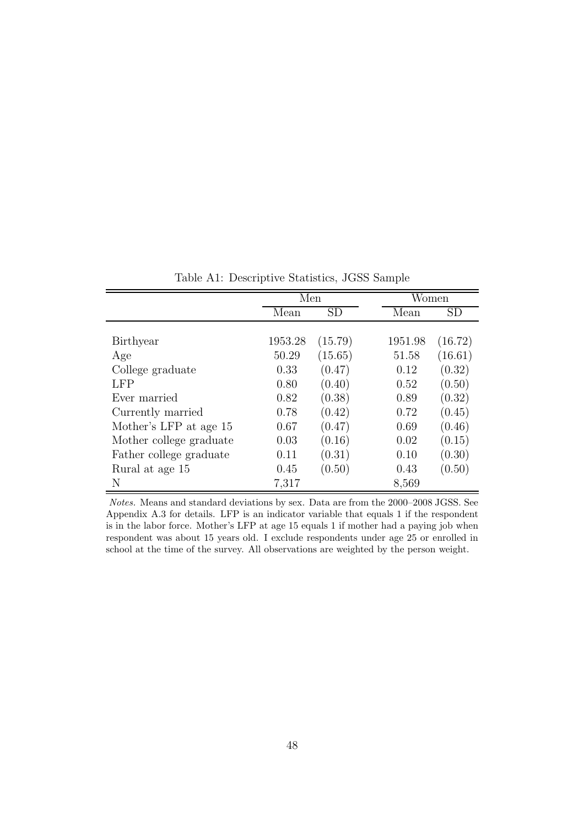|                         | Men     |           | Women   |           |
|-------------------------|---------|-----------|---------|-----------|
|                         | Mean    | <b>SD</b> | Mean    | <b>SD</b> |
|                         |         |           |         |           |
| Birthyear               | 1953.28 | (15.79)   | 1951.98 | (16.72)   |
| Age                     | 50.29   | (15.65)   | 51.58   | (16.61)   |
| College graduate        | 0.33    | (0.47)    | 0.12    | (0.32)    |
| LFP                     | 0.80    | (0.40)    | 0.52    | (0.50)    |
| Ever married            | 0.82    | (0.38)    | 0.89    | (0.32)    |
| Currently married       | 0.78    | (0.42)    | 0.72    | (0.45)    |
| Mother's LFP at age 15  | 0.67    | (0.47)    | 0.69    | (0.46)    |
| Mother college graduate | 0.03    | (0.16)    | 0.02    | (0.15)    |
| Father college graduate | 0.11    | (0.31)    | 0.10    | (0.30)    |
| Rural at age 15         | 0.45    | (0.50)    | 0.43    | (0.50)    |
| N                       | 7,317   |           | 8,569   |           |

Table A1: Descriptive Statistics, JGSS Sample

Notes. Means and standard deviations by sex. Data are from the 2000–2008 JGSS. See Appendix A.3 for details. LFP is an indicator variable that equals 1 if the respondent is in the labor force. Mother's LFP at age 15 equals 1 if mother had a paying job when respondent was about 15 years old. I exclude respondents under age 25 or enrolled in school at the time of the survey. All observations are weighted by the person weight.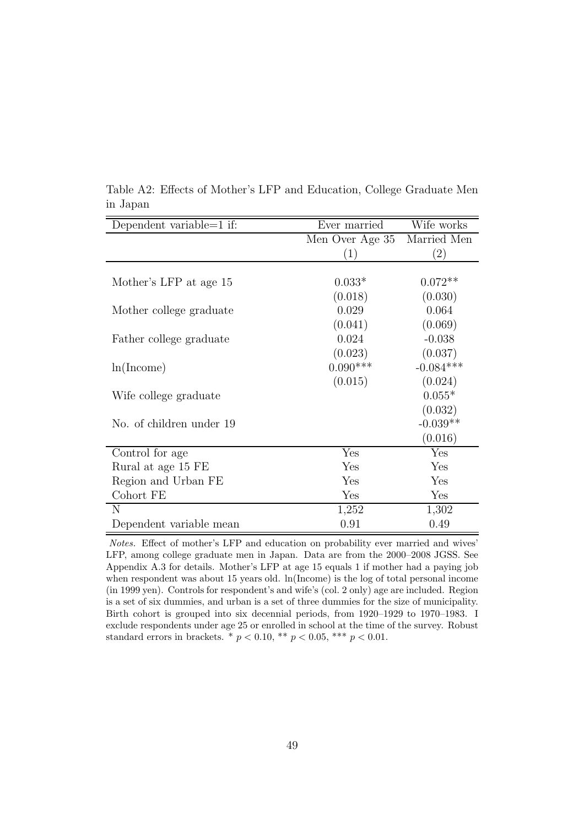| Dependent variable=1 if: | Ever married    | Wife works  |
|--------------------------|-----------------|-------------|
|                          | Men Over Age 35 | Married Men |
|                          | (1)             | (2)         |
|                          |                 |             |
| Mother's LFP at age 15   | $0.033*$        | $0.072**$   |
|                          | (0.018)         | (0.030)     |
| Mother college graduate  | 0.029           | 0.064       |
|                          | (0.041)         | (0.069)     |
| Father college graduate  | 0.024           | $-0.038$    |
|                          | (0.023)         | (0.037)     |
| ln(Income)               | $0.090***$      | $-0.084***$ |
|                          | (0.015)         | (0.024)     |
| Wife college graduate    |                 | $0.055*$    |
|                          |                 | (0.032)     |
| No. of children under 19 |                 | $-0.039**$  |
|                          |                 | (0.016)     |
| Control for age          | Yes             | Yes         |
| Rural at age 15 FE       | Yes             | Yes         |
| Region and Urban FE      | Yes             | Yes         |
| Cohort FE                | Yes             | Yes         |
| N                        | 1,252           | 1,302       |
| Dependent variable mean  | 0.91            | 0.49        |

Table A2: Effects of Mother's LFP and Education, College Graduate Men in Japan

Notes. Effect of mother's LFP and education on probability ever married and wives' LFP, among college graduate men in Japan. Data are from the 2000–2008 JGSS. See Appendix A.3 for details. Mother's LFP at age 15 equals 1 if mother had a paying job when respondent was about 15 years old. ln(Income) is the log of total personal income (in 1999 yen). Controls for respondent's and wife's (col. 2 only) age are included. Region is a set of six dummies, and urban is a set of three dummies for the size of municipality. Birth cohort is grouped into six decennial periods, from 1920–1929 to 1970–1983. I exclude respondents under age 25 or enrolled in school at the time of the survey. Robust standard errors in brackets. \*  $p < 0.10$ , \*\*  $p < 0.05$ , \*\*\*  $p < 0.01$ .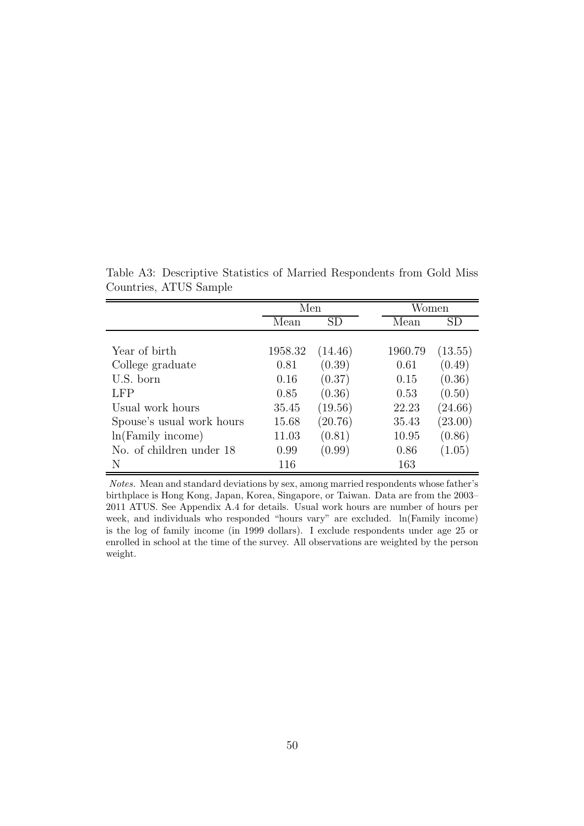|                           | Men     |         |         | Women   |
|---------------------------|---------|---------|---------|---------|
|                           | Mean    | SD      | Mean    | SD      |
|                           |         |         |         |         |
| Year of birth             | 1958.32 | (14.46) | 1960.79 | (13.55) |
| College graduate          | 0.81    | (0.39)  | 0.61    | (0.49)  |
| U.S. born                 | 0.16    | (0.37)  | 0.15    | (0.36)  |
| LFP                       | 0.85    | (0.36)  | 0.53    | (0.50)  |
| Usual work hours          | 35.45   | (19.56) | 22.23   | (24.66) |
| Spouse's usual work hours | 15.68   | (20.76) | 35.43   | (23.00) |
| $ln(Family\ income)$      | 11.03   | (0.81)  | 10.95   | (0.86)  |
| No. of children under 18  | 0.99    | (0.99)  | 0.86    | (1.05)  |
| N                         | 116     |         | 163     |         |

Table A3: Descriptive Statistics of Married Respondents from Gold Miss Countries, ATUS Sample

Notes. Mean and standard deviations by sex, among married respondents whose father's birthplace is Hong Kong, Japan, Korea, Singapore, or Taiwan. Data are from the 2003– 2011 ATUS. See Appendix A.4 for details. Usual work hours are number of hours per week, and individuals who responded "hours vary" are excluded. ln(Family income) is the log of family income (in 1999 dollars). I exclude respondents under age 25 or enrolled in school at the time of the survey. All observations are weighted by the person weight.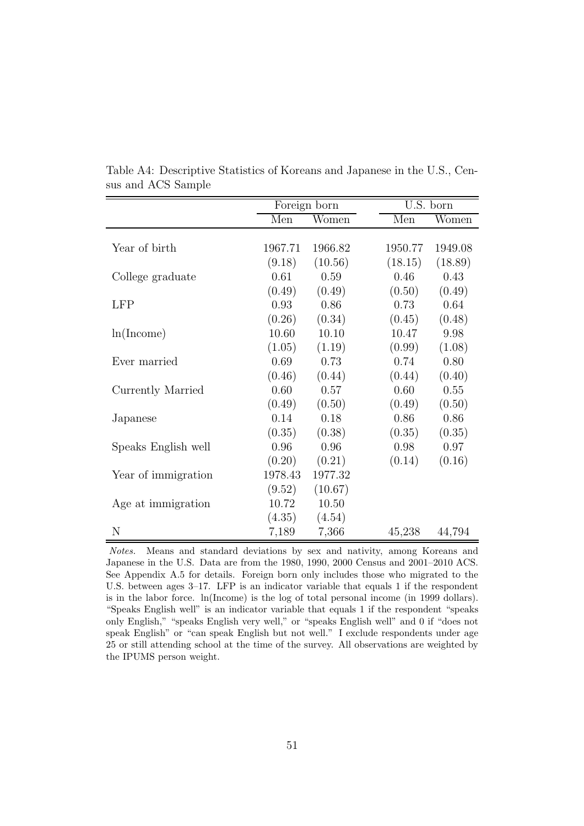|                     | Foreign born |         |         | U.S. born |
|---------------------|--------------|---------|---------|-----------|
|                     | Men          | Women   | Men     | Women     |
|                     |              |         |         |           |
| Year of birth       | 1967.71      | 1966.82 | 1950.77 | 1949.08   |
|                     | (9.18)       | (10.56) | (18.15) | (18.89)   |
| College graduate    | 0.61         | 0.59    | 0.46    | 0.43      |
|                     | (0.49)       | (0.49)  | (0.50)  | (0.49)    |
| LFP                 | 0.93         | 0.86    | 0.73    | 0.64      |
|                     | (0.26)       | (0.34)  | (0.45)  | (0.48)    |
| ln(Income)          | 10.60        | 10.10   | 10.47   | 9.98      |
|                     | (1.05)       | (1.19)  | (0.99)  | (1.08)    |
| Ever married        | 0.69         | 0.73    | 0.74    | 0.80      |
|                     | (0.46)       | (0.44)  | (0.44)  | (0.40)    |
| Currently Married   | 0.60         | 0.57    | 0.60    | 0.55      |
|                     | (0.49)       | (0.50)  | (0.49)  | (0.50)    |
| Japanese            | 0.14         | 0.18    | 0.86    | 0.86      |
|                     | (0.35)       | (0.38)  | (0.35)  | (0.35)    |
| Speaks English well | 0.96         | 0.96    | 0.98    | 0.97      |
|                     | (0.20)       | (0.21)  | (0.14)  | (0.16)    |
| Year of immigration | 1978.43      | 1977.32 |         |           |
|                     | (9.52)       | (10.67) |         |           |
| Age at immigration  | 10.72        | 10.50   |         |           |
|                     | (4.35)       | (4.54)  |         |           |
| N                   | 7,189        | 7,366   | 45,238  | 44,794    |

Table A4: Descriptive Statistics of Koreans and Japanese in the U.S., Census and ACS Sample

Notes. Means and standard deviations by sex and nativity, among Koreans and Japanese in the U.S. Data are from the 1980, 1990, 2000 Census and 2001–2010 ACS. See Appendix A.5 for details. Foreign born only includes those who migrated to the U.S. between ages 3–17. LFP is an indicator variable that equals 1 if the respondent is in the labor force. ln(Income) is the log of total personal income (in 1999 dollars). "Speaks English well" is an indicator variable that equals 1 if the respondent "speaks only English," "speaks English very well," or "speaks English well" and 0 if "does not speak English" or "can speak English but not well." I exclude respondents under age 25 or still attending school at the time of the survey. All observations are weighted by the IPUMS person weight.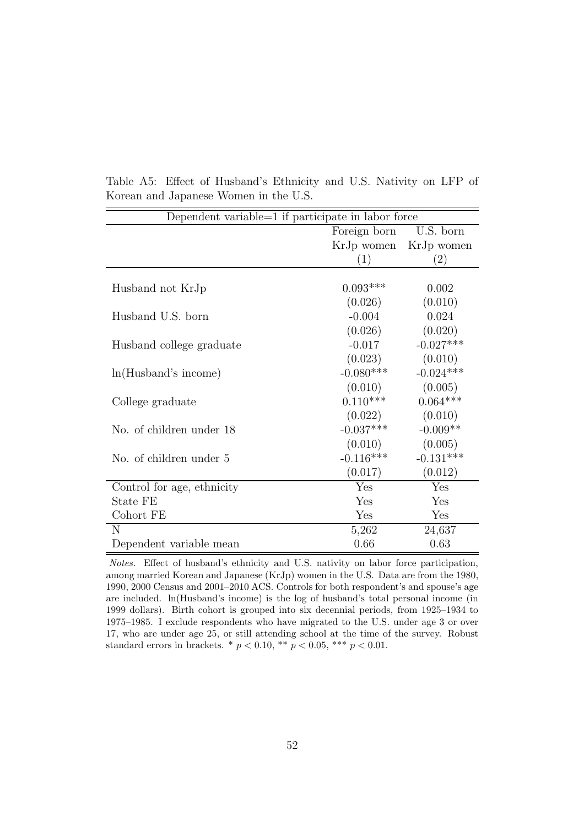| Dependent variable=1 if participate in labor force |                         |                   |  |  |
|----------------------------------------------------|-------------------------|-------------------|--|--|
|                                                    | Foreign born            | U.S. born         |  |  |
|                                                    | KrJp women              | KrJp women        |  |  |
|                                                    | (1)                     | $\left( 2\right)$ |  |  |
|                                                    |                         |                   |  |  |
| Husband not KrJp                                   | $0.093***$              | 0.002             |  |  |
|                                                    | (0.026)                 | (0.010)           |  |  |
| Husband U.S. born                                  | $-0.004$                | 0.024             |  |  |
|                                                    | (0.026)                 | (0.020)           |  |  |
| Husband college graduate                           | $-0.017$                | $-0.027***$       |  |  |
|                                                    | (0.023)                 | (0.010)           |  |  |
| ln(Husband's income)                               | $-0.080***$             | $-0.024***$       |  |  |
|                                                    | (0.010)                 | (0.005)           |  |  |
| College graduate                                   | $0.110***$              | $0.064***$        |  |  |
|                                                    | (0.022)                 | (0.010)           |  |  |
| No. of children under 18                           | $-0.037***$             | $-0.009**$        |  |  |
|                                                    | (0.010)                 | (0.005)           |  |  |
| No. of children under 5                            | $-0.116***$             | $-0.131***$       |  |  |
|                                                    | (0.017)                 | (0.012)           |  |  |
| Control for age, ethnicity                         | $\overline{\text{Yes}}$ | Yes               |  |  |
| State FE                                           | Yes                     | Yes               |  |  |
| Cohort FE                                          | Yes                     | Yes               |  |  |
| $\mathbf N$                                        | 5,262                   | 24,637            |  |  |
| Dependent variable mean                            | 0.66                    | 0.63              |  |  |

Table A5: Effect of Husband's Ethnicity and U.S. Nativity on LFP of Korean and Japanese Women in the U.S.

Notes. Effect of husband's ethnicity and U.S. nativity on labor force participation, among married Korean and Japanese (KrJp) women in the U.S. Data are from the 1980, 1990, 2000 Census and 2001–2010 ACS. Controls for both respondent's and spouse's age are included. ln(Husband's income) is the log of husband's total personal income (in 1999 dollars). Birth cohort is grouped into six decennial periods, from 1925–1934 to 1975–1985. I exclude respondents who have migrated to the U.S. under age 3 or over 17, who are under age 25, or still attending school at the time of the survey. Robust standard errors in brackets. \*  $p < 0.10$ , \*\*  $p < 0.05$ , \*\*\*  $p < 0.01$ .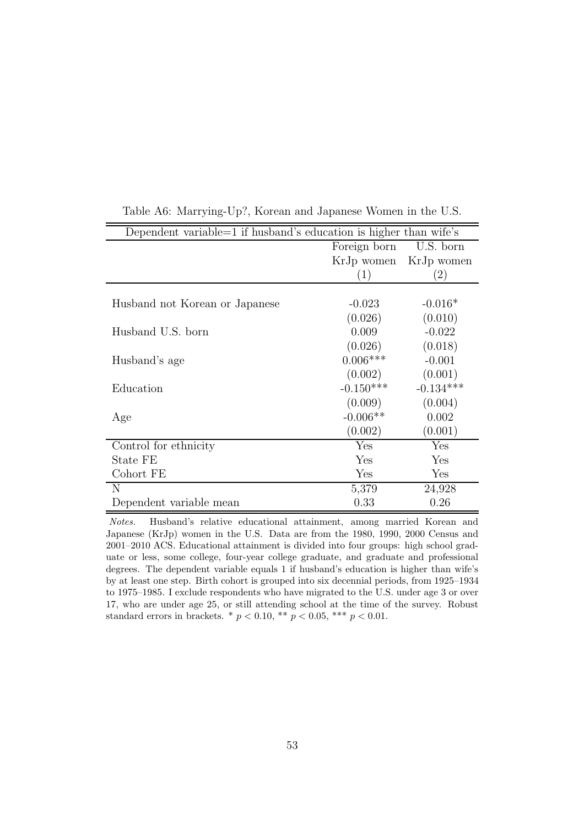| Dependent variable $=1$ if husband's education is higher than wife's |                  |                   |  |  |
|----------------------------------------------------------------------|------------------|-------------------|--|--|
|                                                                      | Foreign born     | U.S. born         |  |  |
|                                                                      | KrJp women       | KrJp women        |  |  |
|                                                                      | $\left(1\right)$ | $\left( 2\right)$ |  |  |
|                                                                      |                  |                   |  |  |
| Husband not Korean or Japanese                                       | $-0.023$         | $-0.016*$         |  |  |
|                                                                      | (0.026)          | (0.010)           |  |  |
| Husband U.S. born                                                    | 0.009            | $-0.022$          |  |  |
|                                                                      | (0.026)          | (0.018)           |  |  |
| Husband's age                                                        | $0.006***$       | $-0.001$          |  |  |
|                                                                      | (0.002)          | (0.001)           |  |  |
| Education                                                            | $-0.150***$      | $-0.134***$       |  |  |
|                                                                      | (0.009)          | (0.004)           |  |  |
| Age                                                                  | $-0.006**$       | 0.002             |  |  |
|                                                                      | (0.002)          | (0.001)           |  |  |
| Control for ethnicity                                                | Yes              | Yes               |  |  |
| State FE                                                             | Yes              | Yes               |  |  |
| Cohort FE                                                            | Yes              | Yes               |  |  |
| N                                                                    | 5,379            | 24,928            |  |  |
| Dependent variable mean                                              | 0.33             | 0.26              |  |  |

Table A6: Marrying-Up?, Korean and Japanese Women in the U.S.

Notes. Husband's relative educational attainment, among married Korean and Japanese (KrJp) women in the U.S. Data are from the 1980, 1990, 2000 Census and 2001–2010 ACS. Educational attainment is divided into four groups: high school graduate or less, some college, four-year college graduate, and graduate and professional degrees. The dependent variable equals 1 if husband's education is higher than wife's by at least one step. Birth cohort is grouped into six decennial periods, from 1925–1934 to 1975–1985. I exclude respondents who have migrated to the U.S. under age 3 or over 17, who are under age 25, or still attending school at the time of the survey. Robust standard errors in brackets. \*  $p < 0.10$ , \*\*  $p < 0.05$ , \*\*\*  $p < 0.01$ .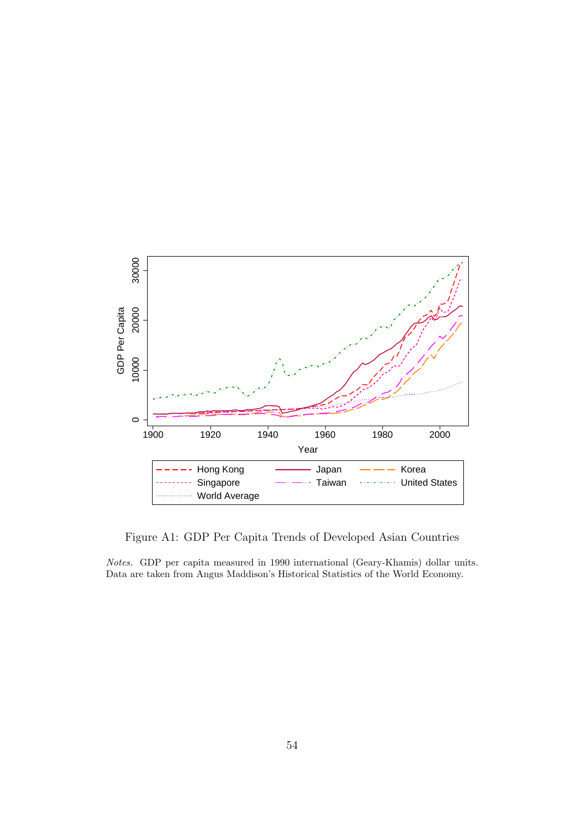

Figure A1: GDP Per Capita Trends of Developed Asian Countries

Notes. GDP per capita measured in 1990 international (Geary-Khamis) dollar units. Data are taken from Angus Maddison's Historical Statistics of the World Economy.